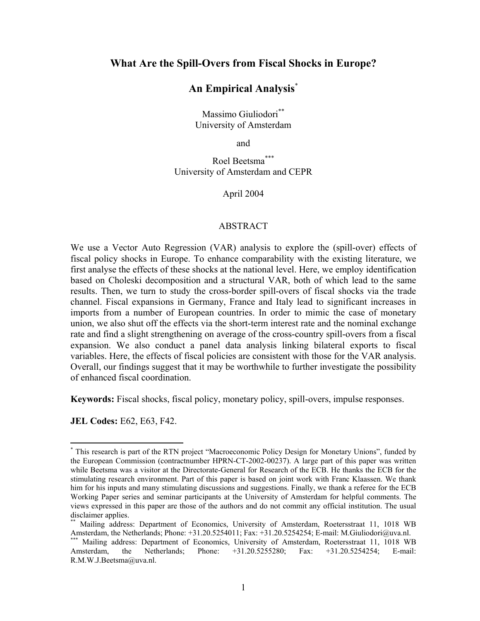# **What Are the Spill-Overs from Fiscal Shocks in Europe?**

# **An Empirical Analysis**\*

Massimo Giuliodori\*\* University of Amsterdam

and

Roel Beetsma\*\*\* University of Amsterdam and CEPR

April 2004

### ABSTRACT

We use a Vector Auto Regression (VAR) analysis to explore the (spill-over) effects of fiscal policy shocks in Europe. To enhance comparability with the existing literature, we first analyse the effects of these shocks at the national level. Here, we employ identification based on Choleski decomposition and a structural VAR, both of which lead to the same results. Then, we turn to study the cross-border spill-overs of fiscal shocks via the trade channel. Fiscal expansions in Germany, France and Italy lead to significant increases in imports from a number of European countries. In order to mimic the case of monetary union, we also shut off the effects via the short-term interest rate and the nominal exchange rate and find a slight strengthening on average of the cross-country spill-overs from a fiscal expansion. We also conduct a panel data analysis linking bilateral exports to fiscal variables. Here, the effects of fiscal policies are consistent with those for the VAR analysis. Overall, our findings suggest that it may be worthwhile to further investigate the possibility of enhanced fiscal coordination.

**Keywords:** Fiscal shocks, fiscal policy, monetary policy, spill-overs, impulse responses.

**JEL Codes:** E62, E63, F42.

1

<sup>\*</sup> This research is part of the RTN project "Macroeconomic Policy Design for Monetary Unions", funded by the European Commission (contractnumber HPRN-CT-2002-00237). A large part of this paper was written while Beetsma was a visitor at the Directorate-General for Research of the ECB. He thanks the ECB for the stimulating research environment. Part of this paper is based on joint work with Franc Klaassen. We thank him for his inputs and many stimulating discussions and suggestions. Finally, we thank a referee for the ECB Working Paper series and seminar participants at the University of Amsterdam for helpful comments. The views expressed in this paper are those of the authors and do not commit any official institution. The usual disclaimer applies.

Mailing address: Department of Economics, University of Amsterdam, Roetersstraat 11, 1018 WB Amsterdam, the Netherlands; Phone: +31.20.5254011; Fax: +31.20.5254254; E-mail: M.Giuliodori@uva.nl.<br>\*\*\* Mailing address: Department of Economics, University of Amsterdam, Roetersstraat 11, 1018 WB

Amsterdam, the Netherlands; Phone: +31.20.5255280; Fax: +31.20.5254254; E-mail: R.M.W.J.Beetsma@uva.nl.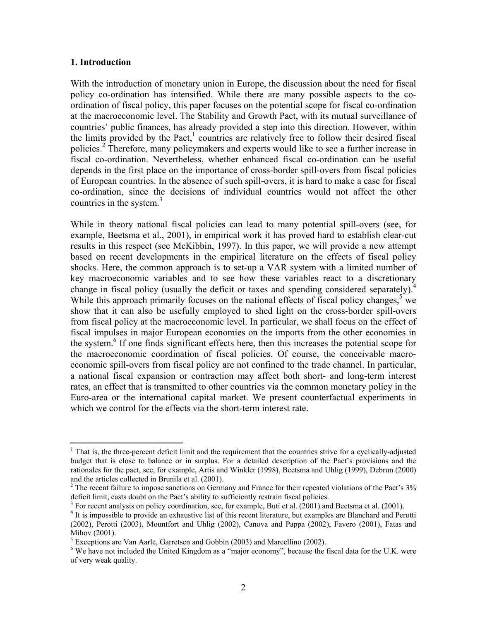### **1. Introduction**

 $\overline{a}$ 

With the introduction of monetary union in Europe, the discussion about the need for fiscal policy co-ordination has intensified. While there are many possible aspects to the coordination of fiscal policy, this paper focuses on the potential scope for fiscal co-ordination at the macroeconomic level. The Stability and Growth Pact, with its mutual surveillance of countries' public finances, has already provided a step into this direction. However, within the limits provided by the Pact, $<sup>1</sup>$  countries are relatively free to follow their desired fiscal</sup> policies.<sup>2</sup> Therefore, many policymakers and experts would like to see a further increase in fiscal co-ordination. Nevertheless, whether enhanced fiscal co-ordination can be useful depends in the first place on the importance of cross-border spill-overs from fiscal policies of European countries. In the absence of such spill-overs, it is hard to make a case for fiscal co-ordination, since the decisions of individual countries would not affect the other countries in the system. $3$ 

While in theory national fiscal policies can lead to many potential spill-overs (see, for example, Beetsma et al., 2001), in empirical work it has proved hard to establish clear-cut results in this respect (see McKibbin, 1997). In this paper, we will provide a new attempt based on recent developments in the empirical literature on the effects of fiscal policy shocks. Here, the common approach is to set-up a VAR system with a limited number of key macroeconomic variables and to see how these variables react to a discretionary change in fiscal policy (usually the deficit or taxes and spending considered separately).<sup>4</sup> While this approach primarily focuses on the national effects of fiscal policy changes,  $5 \text{ we}$ show that it can also be usefully employed to shed light on the cross-border spill-overs from fiscal policy at the macroeconomic level. In particular, we shall focus on the effect of fiscal impulses in major European economies on the imports from the other economies in the system.<sup>6</sup> If one finds significant effects here, then this increases the potential scope for the macroeconomic coordination of fiscal policies. Of course, the conceivable macroeconomic spill-overs from fiscal policy are not confined to the trade channel. In particular, a national fiscal expansion or contraction may affect both short- and long-term interest rates, an effect that is transmitted to other countries via the common monetary policy in the Euro-area or the international capital market. We present counterfactual experiments in which we control for the effects via the short-term interest rate.

<sup>&</sup>lt;sup>1</sup> That is, the three-percent deficit limit and the requirement that the countries strive for a cyclically-adjusted budget that is close to balance or in surplus. For a detailed description of the Pact's provisions and the rationales for the pact, see, for example, Artis and Winkler (1998), Beetsma and Uhlig (1999), Debrun (2000) and the articles collected in Brunila et al. (2001).

<sup>&</sup>lt;sup>2</sup> The recent failure to impose sanctions on Germany and France for their repeated violations of the Pact's 3% deficit limit, casts doubt on the Pact's ability to sufficiently restrain fiscal policies.

 $3$  For recent analysis on policy coordination, see, for example, Buti et al. (2001) and Beetsma et al. (2001).

<sup>&</sup>lt;sup>4</sup> It is impossible to provide an exhaustive list of this recent literature, but examples are Blanchard and Perotti (2002), Perotti (2003), Mountfort and Uhlig (2002), Canova and Pappa (2002), Favero (2001), Fatas and Mihov (2001).

<sup>&</sup>lt;sup>5</sup> Exceptions are Van Aarle, Garretsen and Gobbin (2003) and Marcellino (2002).

<sup>&</sup>lt;sup>6</sup> We have not included the United Kingdom as a "major economy", because the fiscal data for the U.K. were of very weak quality.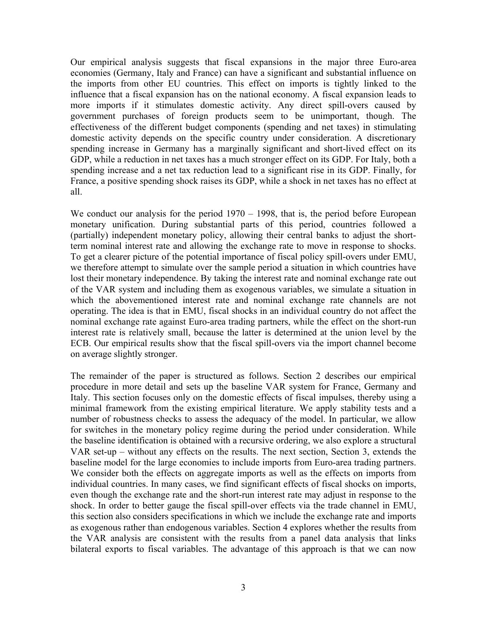Our empirical analysis suggests that fiscal expansions in the major three Euro-area economies (Germany, Italy and France) can have a significant and substantial influence on the imports from other EU countries. This effect on imports is tightly linked to the influence that a fiscal expansion has on the national economy. A fiscal expansion leads to more imports if it stimulates domestic activity. Any direct spill-overs caused by government purchases of foreign products seem to be unimportant, though. The effectiveness of the different budget components (spending and net taxes) in stimulating domestic activity depends on the specific country under consideration. A discretionary spending increase in Germany has a marginally significant and short-lived effect on its GDP, while a reduction in net taxes has a much stronger effect on its GDP. For Italy, both a spending increase and a net tax reduction lead to a significant rise in its GDP. Finally, for France, a positive spending shock raises its GDP, while a shock in net taxes has no effect at all.

We conduct our analysis for the period 1970 – 1998, that is, the period before European monetary unification. During substantial parts of this period, countries followed a (partially) independent monetary policy, allowing their central banks to adjust the shortterm nominal interest rate and allowing the exchange rate to move in response to shocks. To get a clearer picture of the potential importance of fiscal policy spill-overs under EMU, we therefore attempt to simulate over the sample period a situation in which countries have lost their monetary independence. By taking the interest rate and nominal exchange rate out of the VAR system and including them as exogenous variables, we simulate a situation in which the abovementioned interest rate and nominal exchange rate channels are not operating. The idea is that in EMU, fiscal shocks in an individual country do not affect the nominal exchange rate against Euro-area trading partners, while the effect on the short-run interest rate is relatively small, because the latter is determined at the union level by the ECB. Our empirical results show that the fiscal spill-overs via the import channel become on average slightly stronger.

The remainder of the paper is structured as follows. Section 2 describes our empirical procedure in more detail and sets up the baseline VAR system for France, Germany and Italy. This section focuses only on the domestic effects of fiscal impulses, thereby using a minimal framework from the existing empirical literature. We apply stability tests and a number of robustness checks to assess the adequacy of the model. In particular, we allow for switches in the monetary policy regime during the period under consideration. While the baseline identification is obtained with a recursive ordering, we also explore a structural VAR set-up – without any effects on the results. The next section, Section 3, extends the baseline model for the large economies to include imports from Euro-area trading partners. We consider both the effects on aggregate imports as well as the effects on imports from individual countries. In many cases, we find significant effects of fiscal shocks on imports, even though the exchange rate and the short-run interest rate may adjust in response to the shock. In order to better gauge the fiscal spill-over effects via the trade channel in EMU, this section also considers specifications in which we include the exchange rate and imports as exogenous rather than endogenous variables. Section 4 explores whether the results from the VAR analysis are consistent with the results from a panel data analysis that links bilateral exports to fiscal variables. The advantage of this approach is that we can now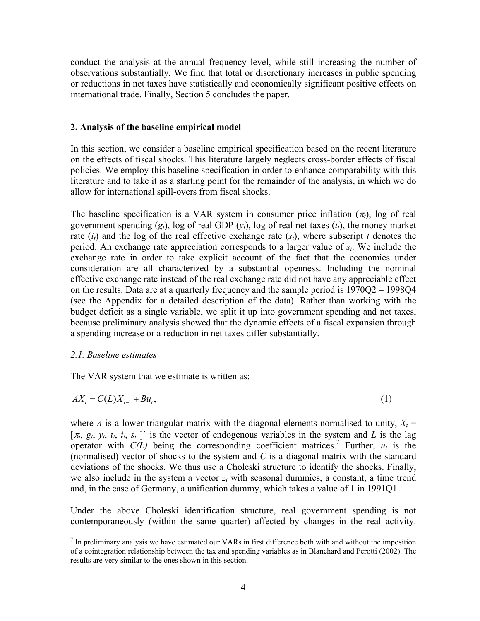conduct the analysis at the annual frequency level, while still increasing the number of observations substantially. We find that total or discretionary increases in public spending or reductions in net taxes have statistically and economically significant positive effects on international trade. Finally, Section 5 concludes the paper.

### **2. Analysis of the baseline empirical model**

In this section, we consider a baseline empirical specification based on the recent literature on the effects of fiscal shocks. This literature largely neglects cross-border effects of fiscal policies. We employ this baseline specification in order to enhance comparability with this literature and to take it as a starting point for the remainder of the analysis, in which we do allow for international spill-overs from fiscal shocks.

The baseline specification is a VAR system in consumer price inflation  $(\pi_l)$ , log of real government spending  $(g_t)$ , log of real GDP  $(y_t)$ , log of real net taxes  $(t_t)$ , the money market rate  $(i_t)$  and the log of the real effective exchange rate  $(s_t)$ , where subscript *t* denotes the period. An exchange rate appreciation corresponds to a larger value of *st*. We include the exchange rate in order to take explicit account of the fact that the economies under consideration are all characterized by a substantial openness. Including the nominal effective exchange rate instead of the real exchange rate did not have any appreciable effect on the results. Data are at a quarterly frequency and the sample period is 1970Q2 – 1998Q4 (see the Appendix for a detailed description of the data). Rather than working with the budget deficit as a single variable, we split it up into government spending and net taxes, because preliminary analysis showed that the dynamic effects of a fiscal expansion through a spending increase or a reduction in net taxes differ substantially.

### *2.1. Baseline estimates*

 $\overline{a}$ 

The VAR system that we estimate is written as:

$$
AX_t = C(L)X_{t-1} + Bu_t, \tag{1}
$$

where *A* is a lower-triangular matrix with the diagonal elements normalised to unity,  $X_t =$  $[\pi_t, g_t, y_t, t_t, i_t, s_t]$  is the vector of endogenous variables in the system and *L* is the lag operator with  $C(L)$  being the corresponding coefficient matrices.<sup>7</sup> Further,  $u_t$  is the (normalised) vector of shocks to the system and *C* is a diagonal matrix with the standard deviations of the shocks. We thus use a Choleski structure to identify the shocks. Finally, we also include in the system a vector  $z_t$  with seasonal dummies, a constant, a time trend and, in the case of Germany, a unification dummy, which takes a value of 1 in 1991Q1

Under the above Choleski identification structure, real government spending is not contemporaneously (within the same quarter) affected by changes in the real activity.

 $<sup>7</sup>$  In preliminary analysis we have estimated our VARs in first difference both with and without the imposition</sup> of a cointegration relationship between the tax and spending variables as in Blanchard and Perotti (2002). The results are very similar to the ones shown in this section.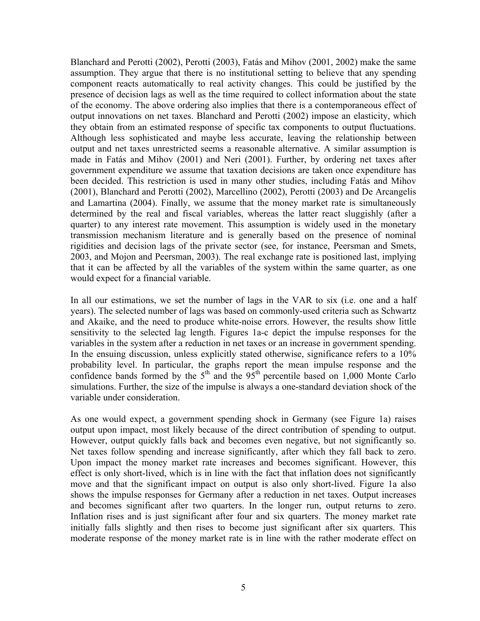Blanchard and Perotti (2002), Perotti (2003), Fatás and Mihov (2001, 2002) make the same assumption. They argue that there is no institutional setting to believe that any spending component reacts automatically to real activity changes. This could be justified by the presence of decision lags as well as the time required to collect information about the state of the economy. The above ordering also implies that there is a contemporaneous effect of output innovations on net taxes. Blanchard and Perotti (2002) impose an elasticity, which they obtain from an estimated response of specific tax components to output fluctuations. Although less sophisticated and maybe less accurate, leaving the relationship between output and net taxes unrestricted seems a reasonable alternative. A similar assumption is made in Fatás and Mihov (2001) and Neri (2001). Further, by ordering net taxes after government expenditure we assume that taxation decisions are taken once expenditure has been decided. This restriction is used in many other studies, including Fatás and Mihov (2001), Blanchard and Perotti (2002), Marcellino (2002), Perotti (2003) and De Arcangelis and Lamartina (2004). Finally, we assume that the money market rate is simultaneously determined by the real and fiscal variables, whereas the latter react sluggishly (after a quarter) to any interest rate movement. This assumption is widely used in the monetary transmission mechanism literature and is generally based on the presence of nominal rigidities and decision lags of the private sector (see, for instance, Peersman and Smets, 2003, and Mojon and Peersman, 2003). The real exchange rate is positioned last, implying that it can be affected by all the variables of the system within the same quarter, as one would expect for a financial variable.

In all our estimations, we set the number of lags in the VAR to six (i.e. one and a half years). The selected number of lags was based on commonly-used criteria such as Schwartz and Akaike, and the need to produce white-noise errors. However, the results show little sensitivity to the selected lag length. Figures 1a-c depict the impulse responses for the variables in the system after a reduction in net taxes or an increase in government spending. In the ensuing discussion, unless explicitly stated otherwise, significance refers to a 10% probability level. In particular, the graphs report the mean impulse response and the confidence bands formed by the  $5<sup>th</sup>$  and the  $95<sup>th</sup>$  percentile based on 1,000 Monte Carlo simulations. Further, the size of the impulse is always a one-standard deviation shock of the variable under consideration.

As one would expect, a government spending shock in Germany (see Figure 1a) raises output upon impact, most likely because of the direct contribution of spending to output. However, output quickly falls back and becomes even negative, but not significantly so. Net taxes follow spending and increase significantly, after which they fall back to zero. Upon impact the money market rate increases and becomes significant. However, this effect is only short-lived, which is in line with the fact that inflation does not significantly move and that the significant impact on output is also only short-lived. Figure 1a also shows the impulse responses for Germany after a reduction in net taxes. Output increases and becomes significant after two quarters. In the longer run, output returns to zero. Inflation rises and is just significant after four and six quarters. The money market rate initially falls slightly and then rises to become just significant after six quarters. This moderate response of the money market rate is in line with the rather moderate effect on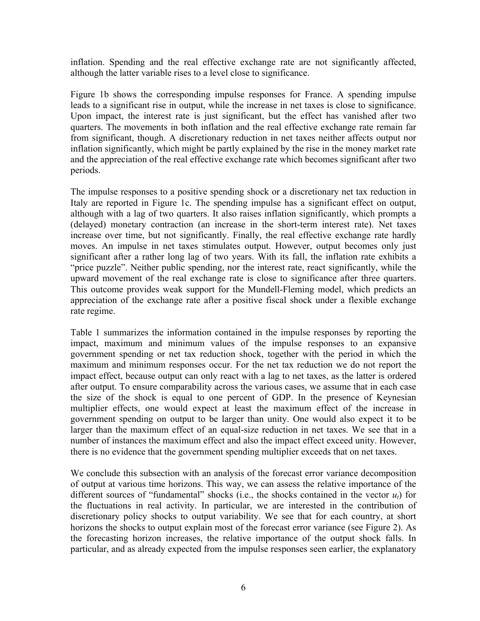inflation. Spending and the real effective exchange rate are not significantly affected, although the latter variable rises to a level close to significance.

Figure 1b shows the corresponding impulse responses for France. A spending impulse leads to a significant rise in output, while the increase in net taxes is close to significance. Upon impact, the interest rate is just significant, but the effect has vanished after two quarters. The movements in both inflation and the real effective exchange rate remain far from significant, though. A discretionary reduction in net taxes neither affects output nor inflation significantly, which might be partly explained by the rise in the money market rate and the appreciation of the real effective exchange rate which becomes significant after two periods.

The impulse responses to a positive spending shock or a discretionary net tax reduction in Italy are reported in Figure 1c. The spending impulse has a significant effect on output, although with a lag of two quarters. It also raises inflation significantly, which prompts a (delayed) monetary contraction (an increase in the short-term interest rate). Net taxes increase over time, but not significantly. Finally, the real effective exchange rate hardly moves. An impulse in net taxes stimulates output. However, output becomes only just significant after a rather long lag of two years. With its fall, the inflation rate exhibits a "price puzzle". Neither public spending, nor the interest rate, react significantly, while the upward movement of the real exchange rate is close to significance after three quarters. This outcome provides weak support for the Mundell-Fleming model, which predicts an appreciation of the exchange rate after a positive fiscal shock under a flexible exchange rate regime.

Table 1 summarizes the information contained in the impulse responses by reporting the impact, maximum and minimum values of the impulse responses to an expansive government spending or net tax reduction shock, together with the period in which the maximum and minimum responses occur. For the net tax reduction we do not report the impact effect, because output can only react with a lag to net taxes, as the latter is ordered after output. To ensure comparability across the various cases, we assume that in each case the size of the shock is equal to one percent of GDP. In the presence of Keynesian multiplier effects, one would expect at least the maximum effect of the increase in government spending on output to be larger than unity. One would also expect it to be larger than the maximum effect of an equal-size reduction in net taxes. We see that in a number of instances the maximum effect and also the impact effect exceed unity. However, there is no evidence that the government spending multiplier exceeds that on net taxes.

We conclude this subsection with an analysis of the forecast error variance decomposition of output at various time horizons. This way, we can assess the relative importance of the different sources of "fundamental" shocks (i.e., the shocks contained in the vector  $u_t$ ) for the fluctuations in real activity. In particular, we are interested in the contribution of discretionary policy shocks to output variability. We see that for each country, at short horizons the shocks to output explain most of the forecast error variance (see Figure 2). As the forecasting horizon increases, the relative importance of the output shock falls. In particular, and as already expected from the impulse responses seen earlier, the explanatory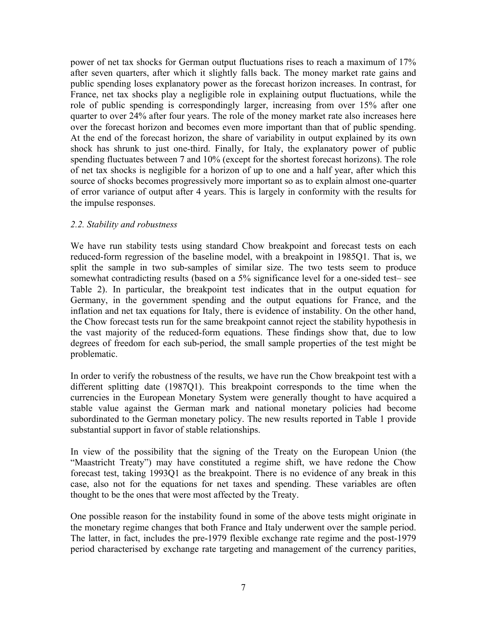power of net tax shocks for German output fluctuations rises to reach a maximum of 17% after seven quarters, after which it slightly falls back. The money market rate gains and public spending loses explanatory power as the forecast horizon increases. In contrast, for France, net tax shocks play a negligible role in explaining output fluctuations, while the role of public spending is correspondingly larger, increasing from over 15% after one quarter to over 24% after four years. The role of the money market rate also increases here over the forecast horizon and becomes even more important than that of public spending. At the end of the forecast horizon, the share of variability in output explained by its own shock has shrunk to just one-third. Finally, for Italy, the explanatory power of public spending fluctuates between 7 and 10% (except for the shortest forecast horizons). The role of net tax shocks is negligible for a horizon of up to one and a half year, after which this source of shocks becomes progressively more important so as to explain almost one-quarter of error variance of output after 4 years. This is largely in conformity with the results for the impulse responses.

# *2.2. Stability and robustness*

We have run stability tests using standard Chow breakpoint and forecast tests on each reduced-form regression of the baseline model, with a breakpoint in 1985Q1. That is, we split the sample in two sub-samples of similar size. The two tests seem to produce somewhat contradicting results (based on a 5% significance level for a one-sided test– see Table 2). In particular, the breakpoint test indicates that in the output equation for Germany, in the government spending and the output equations for France, and the inflation and net tax equations for Italy, there is evidence of instability. On the other hand, the Chow forecast tests run for the same breakpoint cannot reject the stability hypothesis in the vast majority of the reduced-form equations. These findings show that, due to low degrees of freedom for each sub-period, the small sample properties of the test might be problematic.

In order to verify the robustness of the results, we have run the Chow breakpoint test with a different splitting date (1987Q1). This breakpoint corresponds to the time when the currencies in the European Monetary System were generally thought to have acquired a stable value against the German mark and national monetary policies had become subordinated to the German monetary policy. The new results reported in Table 1 provide substantial support in favor of stable relationships.

In view of the possibility that the signing of the Treaty on the European Union (the "Maastricht Treaty") may have constituted a regime shift, we have redone the Chow forecast test, taking 1993Q1 as the breakpoint. There is no evidence of any break in this case, also not for the equations for net taxes and spending. These variables are often thought to be the ones that were most affected by the Treaty.

One possible reason for the instability found in some of the above tests might originate in the monetary regime changes that both France and Italy underwent over the sample period. The latter, in fact, includes the pre-1979 flexible exchange rate regime and the post-1979 period characterised by exchange rate targeting and management of the currency parities,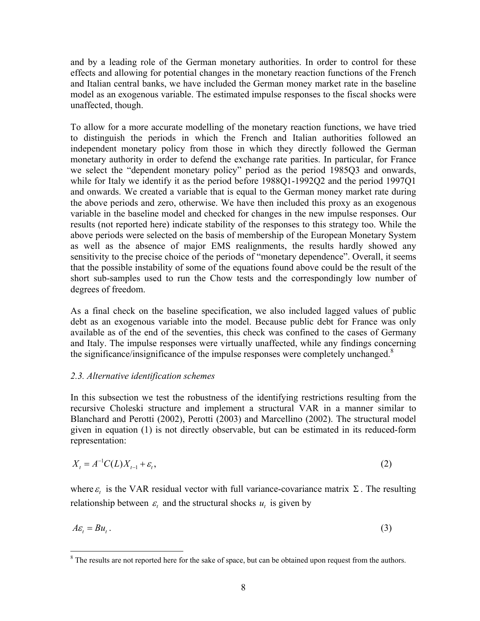and by a leading role of the German monetary authorities. In order to control for these effects and allowing for potential changes in the monetary reaction functions of the French and Italian central banks, we have included the German money market rate in the baseline model as an exogenous variable. The estimated impulse responses to the fiscal shocks were unaffected, though.

To allow for a more accurate modelling of the monetary reaction functions, we have tried to distinguish the periods in which the French and Italian authorities followed an independent monetary policy from those in which they directly followed the German monetary authority in order to defend the exchange rate parities. In particular, for France we select the "dependent monetary policy" period as the period 1985Q3 and onwards, while for Italy we identify it as the period before 1988Q1-1992Q2 and the period 1997Q1 and onwards. We created a variable that is equal to the German money market rate during the above periods and zero, otherwise. We have then included this proxy as an exogenous variable in the baseline model and checked for changes in the new impulse responses. Our results (not reported here) indicate stability of the responses to this strategy too. While the above periods were selected on the basis of membership of the European Monetary System as well as the absence of major EMS realignments, the results hardly showed any sensitivity to the precise choice of the periods of "monetary dependence". Overall, it seems that the possible instability of some of the equations found above could be the result of the short sub-samples used to run the Chow tests and the correspondingly low number of degrees of freedom.

As a final check on the baseline specification, we also included lagged values of public debt as an exogenous variable into the model. Because public debt for France was only available as of the end of the seventies, this check was confined to the cases of Germany and Italy. The impulse responses were virtually unaffected, while any findings concerning the significance/insignificance of the impulse responses were completely unchanged. $8$ 

### *2.3. Alternative identification schemes*

In this subsection we test the robustness of the identifying restrictions resulting from the recursive Choleski structure and implement a structural VAR in a manner similar to Blanchard and Perotti (2002), Perotti (2003) and Marcellino (2002). The structural model given in equation (1) is not directly observable, but can be estimated in its reduced-form representation:

$$
X_t = A^{-1}C(L)X_{t-1} + \varepsilon_t,
$$
\n<sup>(2)</sup>

where  $\varepsilon$ , is the VAR residual vector with full variance-covariance matrix  $\Sigma$ . The resulting relationship between  $\varepsilon$ , and the structural shocks  $u$ , is given by

$$
A\varepsilon_t = Bu_t. \tag{3}
$$

<sup>&</sup>lt;sup>8</sup> The results are not reported here for the sake of space, but can be obtained upon request from the authors.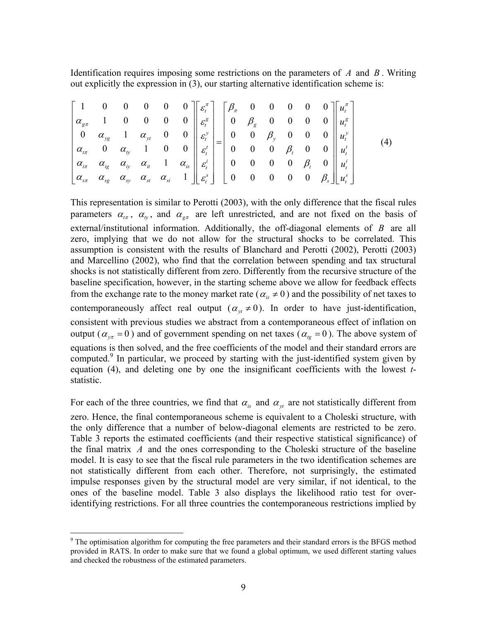Identification requires imposing some restrictions on the parameters of *A* and *B* . Writing out explicitly the expression in (3), our starting alternative identification scheme is:

|  |  |  | $\begin{bmatrix} 1 & 0 & 0 & 0 & 0 & 0 \\ \alpha_{g\pi} & 1 & 0 & 0 & 0 & 0 \\ 0 & \alpha_{yg} & 1 & \alpha_{y\eta} & 0 & 0 \\ \alpha_{i\pi} & 0 & \alpha_{y} & 1 & 0 & 0 \\ \alpha_{i\pi} & \alpha_{ig} & \alpha_{iy} & \alpha_{ii} & 1 & \alpha_{ii} \\ \alpha_{s\pi} & \alpha_{sg} & \alpha_{sy} & \alpha_{st} & \alpha_{si} & 1 \end{bmatrix} \begin{bmatrix} \varepsilon_i^{\pi} \\ \varepsilon_i^{\kappa} \\ \varepsilon_i^{\kappa} \\ \varepsilon_i^$ |  |  |  |  |
|--|--|--|--------------------------------------------------------------------------------------------------------------------------------------------------------------------------------------------------------------------------------------------------------------------------------------------------------------------------------------------------------------------------------------------------------------------------------------------------------------|--|--|--|--|

This representation is similar to Perotti (2003), with the only difference that the fiscal rules parameters  $\alpha_{t\pi}$ ,  $\alpha_{t\gamma}$ , and  $\alpha_{g\pi}$  are left unrestricted, and are not fixed on the basis of external/institutional information. Additionally, the off-diagonal elements of *B* are all zero, implying that we do not allow for the structural shocks to be correlated. This assumption is consistent with the results of Blanchard and Perotti (2002), Perotti (2003) and Marcellino (2002), who find that the correlation between spending and tax structural shocks is not statistically different from zero. Differently from the recursive structure of the baseline specification, however, in the starting scheme above we allow for feedback effects from the exchange rate to the money market rate ( $\alpha_{i} \neq 0$ ) and the possibility of net taxes to contemporaneously affect real output ( $\alpha_{vt} \neq 0$ ). In order to have just-identification, consistent with previous studies we abstract from a contemporaneous effect of inflation on output ( $\alpha_{yx} = 0$ ) and of government spending on net taxes ( $\alpha_{tx} = 0$ ). The above system of equations is then solved, and the free coefficients of the model and their standard errors are computed.<sup>9</sup> In particular, we proceed by starting with the just-identified system given by equation (4), and deleting one by one the insignificant coefficients with the lowest *t*statistic.

For each of the three countries, we find that  $\alpha_{is}$  and  $\alpha_{vt}$  are not statistically different from zero. Hence, the final contemporaneous scheme is equivalent to a Choleski structure, with the only difference that a number of below-diagonal elements are restricted to be zero. Table 3 reports the estimated coefficients (and their respective statistical significance) of the final matrix *A* and the ones corresponding to the Choleski structure of the baseline model. It is easy to see that the fiscal rule parameters in the two identification schemes are not statistically different from each other. Therefore, not surprisingly, the estimated impulse responses given by the structural model are very similar, if not identical, to the ones of the baseline model. Table 3 also displays the likelihood ratio test for overidentifying restrictions. For all three countries the contemporaneous restrictions implied by

1

<sup>&</sup>lt;sup>9</sup> The optimisation algorithm for computing the free parameters and their standard errors is the BFGS method provided in RATS. In order to make sure that we found a global optimum, we used different starting values and checked the robustness of the estimated parameters.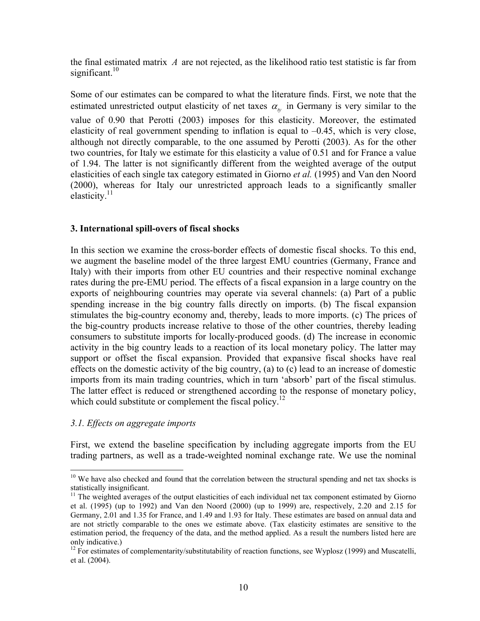the final estimated matrix *A* are not rejected, as the likelihood ratio test statistic is far from significant. $10$ 

Some of our estimates can be compared to what the literature finds. First, we note that the estimated unrestricted output elasticity of net taxes  $\alpha_{\nu}$  in Germany is very similar to the value of 0.90 that Perotti (2003) imposes for this elasticity. Moreover, the estimated elasticity of real government spending to inflation is equal to –0.45, which is very close, although not directly comparable, to the one assumed by Perotti (2003). As for the other two countries, for Italy we estimate for this elasticity a value of 0.51 and for France a value of 1.94. The latter is not significantly different from the weighted average of the output elasticities of each single tax category estimated in Giorno *et al.* (1995) and Van den Noord (2000), whereas for Italy our unrestricted approach leads to a significantly smaller elasticity. $11$ 

# **3. International spill-overs of fiscal shocks**

In this section we examine the cross-border effects of domestic fiscal shocks. To this end, we augment the baseline model of the three largest EMU countries (Germany, France and Italy) with their imports from other EU countries and their respective nominal exchange rates during the pre-EMU period. The effects of a fiscal expansion in a large country on the exports of neighbouring countries may operate via several channels: (a) Part of a public spending increase in the big country falls directly on imports. (b) The fiscal expansion stimulates the big-country economy and, thereby, leads to more imports. (c) The prices of the big-country products increase relative to those of the other countries, thereby leading consumers to substitute imports for locally-produced goods. (d) The increase in economic activity in the big country leads to a reaction of its local monetary policy. The latter may support or offset the fiscal expansion. Provided that expansive fiscal shocks have real effects on the domestic activity of the big country, (a) to (c) lead to an increase of domestic imports from its main trading countries, which in turn 'absorb' part of the fiscal stimulus. The latter effect is reduced or strengthened according to the response of monetary policy, which could substitute or complement the fiscal policy.<sup>12</sup>

# *3.1. Effects on aggregate imports*

1

First, we extend the baseline specification by including aggregate imports from the EU trading partners, as well as a trade-weighted nominal exchange rate. We use the nominal

<sup>&</sup>lt;sup>10</sup> We have also checked and found that the correlation between the structural spending and net tax shocks is statistically insignificant.

<sup>&</sup>lt;sup>11</sup> The weighted averages of the output elasticities of each individual net tax component estimated by Giorno et al. (1995) (up to 1992) and Van den Noord (2000) (up to 1999) are, respectively, 2.20 and 2.15 for Germany, 2.01 and 1.35 for France, and 1.49 and 1.93 for Italy. These estimates are based on annual data and are not strictly comparable to the ones we estimate above. (Tax elasticity estimates are sensitive to the estimation period, the frequency of the data, and the method applied. As a result the numbers listed here are only indicative.)

<sup>&</sup>lt;sup>12</sup> For estimates of complementarity/substitutability of reaction functions, see Wyplosz (1999) and Muscatelli, et al. (2004).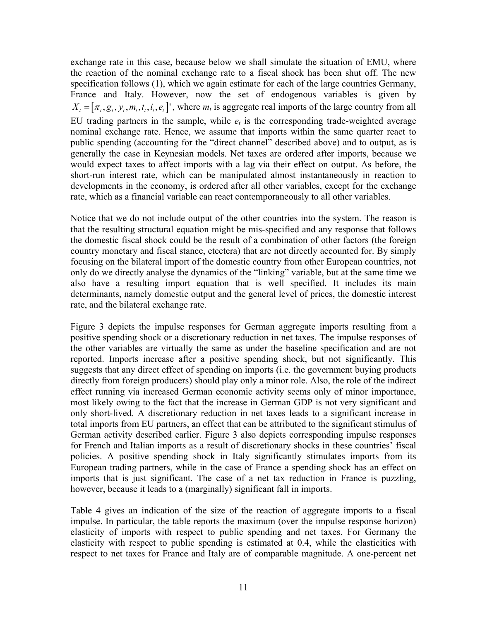exchange rate in this case, because below we shall simulate the situation of EMU, where the reaction of the nominal exchange rate to a fiscal shock has been shut off. The new specification follows (1), which we again estimate for each of the large countries Germany, France and Italy. However, now the set of endogenous variables is given by  $X_t = [\pi_t, g_t, y_t, m_t, t_t, i_t, e_t]$ , where  $m_t$  is aggregate real imports of the large country from all EU trading partners in the sample, while  $e_t$  is the corresponding trade-weighted average nominal exchange rate. Hence, we assume that imports within the same quarter react to public spending (accounting for the "direct channel" described above) and to output, as is generally the case in Keynesian models. Net taxes are ordered after imports, because we would expect taxes to affect imports with a lag via their effect on output. As before, the short-run interest rate, which can be manipulated almost instantaneously in reaction to developments in the economy, is ordered after all other variables, except for the exchange rate, which as a financial variable can react contemporaneously to all other variables.

Notice that we do not include output of the other countries into the system. The reason is that the resulting structural equation might be mis-specified and any response that follows the domestic fiscal shock could be the result of a combination of other factors (the foreign country monetary and fiscal stance, etcetera) that are not directly accounted for. By simply focusing on the bilateral import of the domestic country from other European countries, not only do we directly analyse the dynamics of the "linking" variable, but at the same time we also have a resulting import equation that is well specified. It includes its main determinants, namely domestic output and the general level of prices, the domestic interest rate, and the bilateral exchange rate.

Figure 3 depicts the impulse responses for German aggregate imports resulting from a positive spending shock or a discretionary reduction in net taxes. The impulse responses of the other variables are virtually the same as under the baseline specification and are not reported. Imports increase after a positive spending shock, but not significantly. This suggests that any direct effect of spending on imports (i.e. the government buying products directly from foreign producers) should play only a minor role. Also, the role of the indirect effect running via increased German economic activity seems only of minor importance, most likely owing to the fact that the increase in German GDP is not very significant and only short-lived. A discretionary reduction in net taxes leads to a significant increase in total imports from EU partners, an effect that can be attributed to the significant stimulus of German activity described earlier. Figure 3 also depicts corresponding impulse responses for French and Italian imports as a result of discretionary shocks in these countries' fiscal policies. A positive spending shock in Italy significantly stimulates imports from its European trading partners, while in the case of France a spending shock has an effect on imports that is just significant. The case of a net tax reduction in France is puzzling, however, because it leads to a (marginally) significant fall in imports.

Table 4 gives an indication of the size of the reaction of aggregate imports to a fiscal impulse. In particular, the table reports the maximum (over the impulse response horizon) elasticity of imports with respect to public spending and net taxes. For Germany the elasticity with respect to public spending is estimated at 0.4, while the elasticities with respect to net taxes for France and Italy are of comparable magnitude. A one-percent net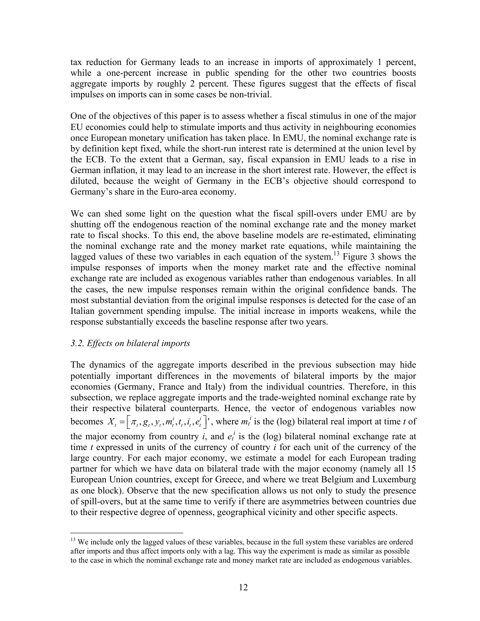tax reduction for Germany leads to an increase in imports of approximately 1 percent, while a one-percent increase in public spending for the other two countries boosts aggregate imports by roughly 2 percent. These figures suggest that the effects of fiscal impulses on imports can in some cases be non-trivial.

One of the objectives of this paper is to assess whether a fiscal stimulus in one of the major EU economies could help to stimulate imports and thus activity in neighbouring economies once European monetary unification has taken place. In EMU, the nominal exchange rate is by definition kept fixed, while the short-run interest rate is determined at the union level by the ECB. To the extent that a German, say, fiscal expansion in EMU leads to a rise in German inflation, it may lead to an increase in the short interest rate. However, the effect is diluted, because the weight of Germany in the ECB's objective should correspond to Germany's share in the Euro-area economy.

We can shed some light on the question what the fiscal spill-overs under EMU are by shutting off the endogenous reaction of the nominal exchange rate and the money market rate to fiscal shocks. To this end, the above baseline models are re-estimated, eliminating the nominal exchange rate and the money market rate equations, while maintaining the lagged values of these two variables in each equation of the system.<sup>13</sup> Figure 3 shows the impulse responses of imports when the money market rate and the effective nominal exchange rate are included as exogenous variables rather than endogenous variables. In all the cases, the new impulse responses remain within the original confidence bands. The most substantial deviation from the original impulse responses is detected for the case of an Italian government spending impulse. The initial increase in imports weakens, while the response substantially exceeds the baseline response after two years.

# *3.2. Effects on bilateral imports*

The dynamics of the aggregate imports described in the previous subsection may hide potentially important differences in the movements of bilateral imports by the major economies (Germany, France and Italy) from the individual countries. Therefore, in this subsection, we replace aggregate imports and the trade-weighted nominal exchange rate by their respective bilateral counterparts. Hence, the vector of endogenous variables now becomes  $X_t = \left[\pi_t, g_t, y_t, m_t^i, t_t, i_t, e_t^i\right]$ , where  $m_t^i$  is the (log) bilateral real import at time *t* of the major economy from country *i*, and  $e_t^i$  is the (log) bilateral nominal exchange rate at time *t* expressed in units of the currency of country *i* for each unit of the currency of the large country. For each major economy, we estimate a model for each European trading partner for which we have data on bilateral trade with the major economy (namely all 15 European Union countries, except for Greece, and where we treat Belgium and Luxemburg as one block). Observe that the new specification allows us not only to study the presence of spill-overs, but at the same time to verify if there are asymmetries between countries due to their respective degree of openness, geographical vicinity and other specific aspects.

<sup>1</sup> <sup>13</sup> We include only the lagged values of these variables, because in the full system these variables are ordered after imports and thus affect imports only with a lag. This way the experiment is made as similar as possible to the case in which the nominal exchange rate and money market rate are included as endogenous variables.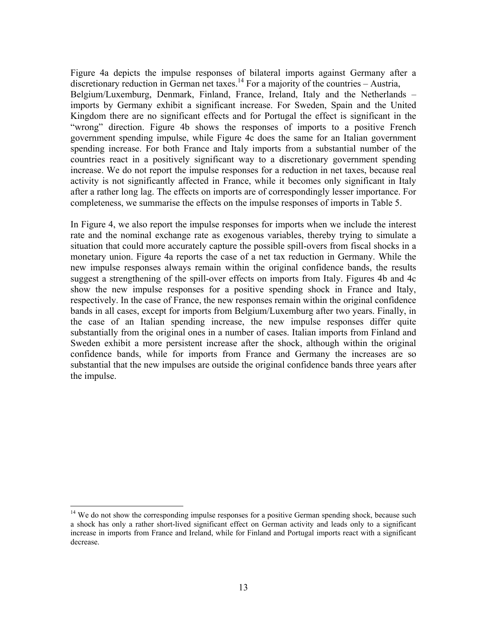Figure 4a depicts the impulse responses of bilateral imports against Germany after a discretionary reduction in German net taxes.<sup>14</sup> For a majority of the countries – Austria, Belgium/Luxemburg, Denmark, Finland, France, Ireland, Italy and the Netherlands – imports by Germany exhibit a significant increase. For Sweden, Spain and the United Kingdom there are no significant effects and for Portugal the effect is significant in the "wrong" direction. Figure 4b shows the responses of imports to a positive French government spending impulse, while Figure 4c does the same for an Italian government spending increase. For both France and Italy imports from a substantial number of the countries react in a positively significant way to a discretionary government spending increase. We do not report the impulse responses for a reduction in net taxes, because real activity is not significantly affected in France, while it becomes only significant in Italy after a rather long lag. The effects on imports are of correspondingly lesser importance. For completeness, we summarise the effects on the impulse responses of imports in Table 5.

In Figure 4, we also report the impulse responses for imports when we include the interest rate and the nominal exchange rate as exogenous variables, thereby trying to simulate a situation that could more accurately capture the possible spill-overs from fiscal shocks in a monetary union. Figure 4a reports the case of a net tax reduction in Germany. While the new impulse responses always remain within the original confidence bands, the results suggest a strengthening of the spill-over effects on imports from Italy. Figures 4b and 4c show the new impulse responses for a positive spending shock in France and Italy, respectively. In the case of France, the new responses remain within the original confidence bands in all cases, except for imports from Belgium/Luxemburg after two years. Finally, in the case of an Italian spending increase, the new impulse responses differ quite substantially from the original ones in a number of cases. Italian imports from Finland and Sweden exhibit a more persistent increase after the shock, although within the original confidence bands, while for imports from France and Germany the increases are so substantial that the new impulses are outside the original confidence bands three years after the impulse.

 $\overline{a}$ 

<sup>&</sup>lt;sup>14</sup> We do not show the corresponding impulse responses for a positive German spending shock, because such a shock has only a rather short-lived significant effect on German activity and leads only to a significant increase in imports from France and Ireland, while for Finland and Portugal imports react with a significant decrease.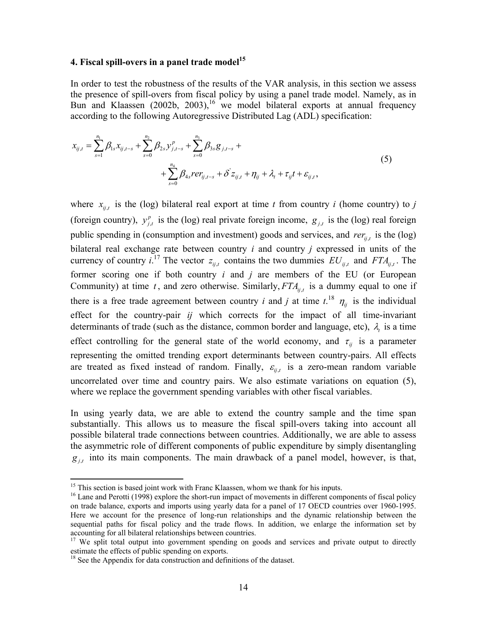# **4. Fiscal spill-overs in a panel trade model<sup>15</sup>**

In order to test the robustness of the results of the VAR analysis, in this section we assess the presence of spill-overs from fiscal policy by using a panel trade model. Namely, as in Bun and Klaassen  $(2002b, 2003)$ ,  $^{16}$  we model bilateral exports at annual frequency according to the following Autoregressive Distributed Lag (ADL) specification:

$$
x_{ij,t} = \sum_{s=1}^{n_1} \beta_{1s} x_{ij,t-s} + \sum_{s=0}^{n_2} \beta_{2s} y_{j,t-s}^p + \sum_{s=0}^{n_3} \beta_{3s} g_{j,t-s} + + \sum_{s=0}^{n_4} \beta_{4s} r e r_{ij,t-s} + \delta' z_{ij,t} + \eta_{ij} + \lambda_t + \tau_{ij} t + \varepsilon_{ij,t},
$$
(5)

where  $x_{ij,t}$  is the (log) bilateral real export at time *t* from country *i* (home country) to *j* (foreign country),  $y_{j,t}^p$  is the (log) real private foreign income,  $g_{j,t}$  is the (log) real foreign public spending in (consumption and investment) goods and services, and  $rer_{i,i}$  is the (log) bilateral real exchange rate between country *i* and country *j* expressed in units of the currency of country *i*.<sup>17</sup> The vector  $z_{ij,t}$  contains the two dummies  $EU_{ij,t}$  and  $FTA_{ij,t}$ . The former scoring one if both country *i* and *j* are members of the EU (or European Community) at time  $t$ , and zero otherwise. Similarly,  $FTA_{ij,t}$  is a dummy equal to one if there is a free trade agreement between country *i* and *j* at time  $t^{18}$ ,  $\eta_{ij}$  is the individual effect for the country-pair *ij* which corrects for the impact of all time-invariant determinants of trade (such as the distance, common border and language, etc),  $\lambda$ , is a time effect controlling for the general state of the world economy, and  $\tau_{ij}$  is a parameter representing the omitted trending export determinants between country-pairs. All effects are treated as fixed instead of random. Finally,  $\varepsilon_{ii}$ , is a zero-mean random variable uncorrelated over time and country pairs. We also estimate variations on equation (5), where we replace the government spending variables with other fiscal variables.

In using yearly data, we are able to extend the country sample and the time span substantially. This allows us to measure the fiscal spill-overs taking into account all possible bilateral trade connections between countries. Additionally, we are able to assess the asymmetric role of different components of public expenditure by simply disentangling  $g_{i,t}$  into its main components. The main drawback of a panel model, however, is that,

1

<sup>&</sup>lt;sup>15</sup> This section is based joint work with Franc Klaassen, whom we thank for his inputs.<br><sup>16</sup> Lane and Perotti (1998) explore the short-run impact of movements in different components of fiscal policy on trade balance, exports and imports using yearly data for a panel of 17 OECD countries over 1960-1995. Here we account for the presence of long-run relationships and the dynamic relationship between the sequential paths for fiscal policy and the trade flows. In addition, we enlarge the information set by accounting for all bilateral relationships between countries.

<sup>&</sup>lt;sup>17</sup> We split total output into government spending on goods and services and private output to directly estimate the effects of public spending on exports.

<sup>&</sup>lt;sup>18</sup> See the Appendix for data construction and definitions of the dataset.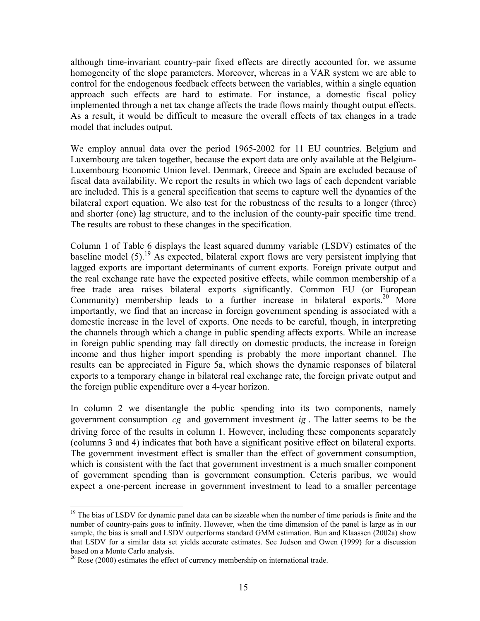although time-invariant country-pair fixed effects are directly accounted for, we assume homogeneity of the slope parameters. Moreover, whereas in a VAR system we are able to control for the endogenous feedback effects between the variables, within a single equation approach such effects are hard to estimate. For instance, a domestic fiscal policy implemented through a net tax change affects the trade flows mainly thought output effects. As a result, it would be difficult to measure the overall effects of tax changes in a trade model that includes output.

We employ annual data over the period 1965-2002 for 11 EU countries. Belgium and Luxembourg are taken together, because the export data are only available at the Belgium-Luxembourg Economic Union level. Denmark, Greece and Spain are excluded because of fiscal data availability. We report the results in which two lags of each dependent variable are included. This is a general specification that seems to capture well the dynamics of the bilateral export equation. We also test for the robustness of the results to a longer (three) and shorter (one) lag structure, and to the inclusion of the county-pair specific time trend. The results are robust to these changes in the specification.

Column 1 of Table 6 displays the least squared dummy variable (LSDV) estimates of the baseline model  $(5)$ .<sup>19</sup> As expected, bilateral export flows are very persistent implying that lagged exports are important determinants of current exports. Foreign private output and the real exchange rate have the expected positive effects, while common membership of a free trade area raises bilateral exports significantly. Common EU (or European Community) membership leads to a further increase in bilateral exports.<sup>20</sup> More importantly, we find that an increase in foreign government spending is associated with a domestic increase in the level of exports. One needs to be careful, though, in interpreting the channels through which a change in public spending affects exports. While an increase in foreign public spending may fall directly on domestic products, the increase in foreign income and thus higher import spending is probably the more important channel. The results can be appreciated in Figure 5a, which shows the dynamic responses of bilateral exports to a temporary change in bilateral real exchange rate, the foreign private output and the foreign public expenditure over a 4-year horizon.

In column 2 we disentangle the public spending into its two components, namely government consumption *cg* and government investment *ig* . The latter seems to be the driving force of the results in column 1. However, including these components separately (columns 3 and 4) indicates that both have a significant positive effect on bilateral exports. The government investment effect is smaller than the effect of government consumption, which is consistent with the fact that government investment is a much smaller component of government spending than is government consumption. Ceteris paribus, we would expect a one-percent increase in government investment to lead to a smaller percentage

 $\overline{a}$ 

<sup>&</sup>lt;sup>19</sup> The bias of LSDV for dynamic panel data can be sizeable when the number of time periods is finite and the number of country-pairs goes to infinity. However, when the time dimension of the panel is large as in our sample, the bias is small and LSDV outperforms standard GMM estimation. Bun and Klaassen (2002a) show that LSDV for a similar data set yields accurate estimates. See Judson and Owen (1999) for a discussion based on a Monte Carlo analysis.

 $20$  Rose (2000) estimates the effect of currency membership on international trade.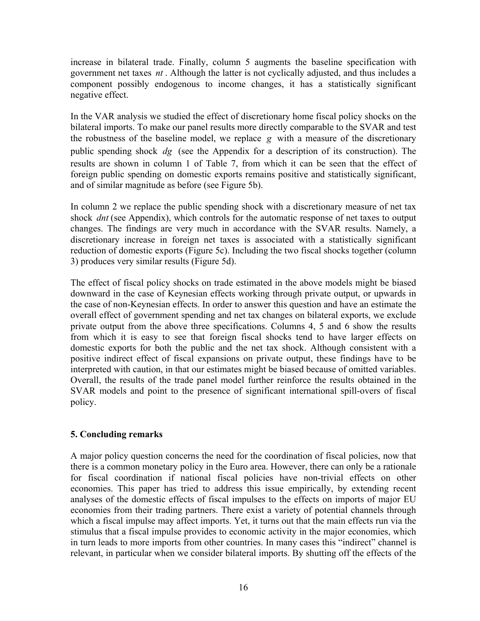increase in bilateral trade. Finally, column 5 augments the baseline specification with government net taxes *nt* . Although the latter is not cyclically adjusted, and thus includes a component possibly endogenous to income changes, it has a statistically significant negative effect.

In the VAR analysis we studied the effect of discretionary home fiscal policy shocks on the bilateral imports. To make our panel results more directly comparable to the SVAR and test the robustness of the baseline model, we replace *g* with a measure of the discretionary public spending shock *dg* (see the Appendix for a description of its construction). The results are shown in column 1 of Table 7, from which it can be seen that the effect of foreign public spending on domestic exports remains positive and statistically significant, and of similar magnitude as before (see Figure 5b).

In column 2 we replace the public spending shock with a discretionary measure of net tax shock *dnt* (see Appendix), which controls for the automatic response of net taxes to output changes. The findings are very much in accordance with the SVAR results. Namely, a discretionary increase in foreign net taxes is associated with a statistically significant reduction of domestic exports (Figure 5c). Including the two fiscal shocks together (column 3) produces very similar results (Figure 5d).

The effect of fiscal policy shocks on trade estimated in the above models might be biased downward in the case of Keynesian effects working through private output, or upwards in the case of non-Keynesian effects. In order to answer this question and have an estimate the overall effect of government spending and net tax changes on bilateral exports, we exclude private output from the above three specifications. Columns 4, 5 and 6 show the results from which it is easy to see that foreign fiscal shocks tend to have larger effects on domestic exports for both the public and the net tax shock. Although consistent with a positive indirect effect of fiscal expansions on private output, these findings have to be interpreted with caution, in that our estimates might be biased because of omitted variables. Overall, the results of the trade panel model further reinforce the results obtained in the SVAR models and point to the presence of significant international spill-overs of fiscal policy.

# **5. Concluding remarks**

A major policy question concerns the need for the coordination of fiscal policies, now that there is a common monetary policy in the Euro area. However, there can only be a rationale for fiscal coordination if national fiscal policies have non-trivial effects on other economies. This paper has tried to address this issue empirically, by extending recent analyses of the domestic effects of fiscal impulses to the effects on imports of major EU economies from their trading partners. There exist a variety of potential channels through which a fiscal impulse may affect imports. Yet, it turns out that the main effects run via the stimulus that a fiscal impulse provides to economic activity in the major economies, which in turn leads to more imports from other countries. In many cases this "indirect" channel is relevant, in particular when we consider bilateral imports. By shutting off the effects of the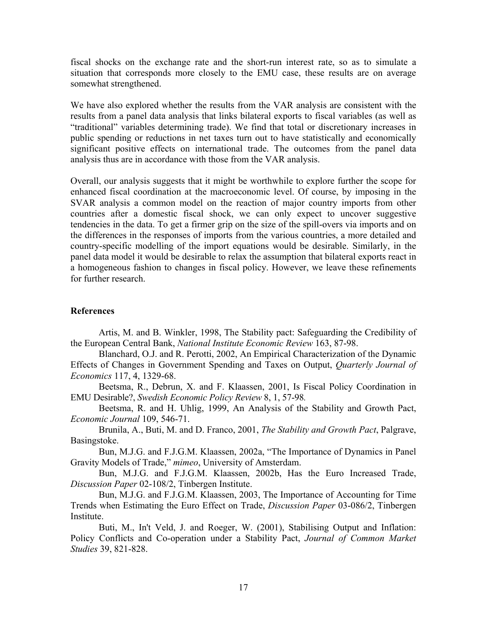fiscal shocks on the exchange rate and the short-run interest rate, so as to simulate a situation that corresponds more closely to the EMU case, these results are on average somewhat strengthened.

We have also explored whether the results from the VAR analysis are consistent with the results from a panel data analysis that links bilateral exports to fiscal variables (as well as "traditional" variables determining trade). We find that total or discretionary increases in public spending or reductions in net taxes turn out to have statistically and economically significant positive effects on international trade. The outcomes from the panel data analysis thus are in accordance with those from the VAR analysis.

Overall, our analysis suggests that it might be worthwhile to explore further the scope for enhanced fiscal coordination at the macroeconomic level. Of course, by imposing in the SVAR analysis a common model on the reaction of major country imports from other countries after a domestic fiscal shock, we can only expect to uncover suggestive tendencies in the data. To get a firmer grip on the size of the spill-overs via imports and on the differences in the responses of imports from the various countries, a more detailed and country-specific modelling of the import equations would be desirable. Similarly, in the panel data model it would be desirable to relax the assumption that bilateral exports react in a homogeneous fashion to changes in fiscal policy. However, we leave these refinements for further research.

### **References**

Artis, M. and B. Winkler, 1998, The Stability pact: Safeguarding the Credibility of the European Central Bank, *National Institute Economic Review* 163, 87-98.

Blanchard, O.J. and R. Perotti, 2002, An Empirical Characterization of the Dynamic Effects of Changes in Government Spending and Taxes on Output, *Quarterly Journal of Economics* 117, 4, 1329-68.

Beetsma, R., Debrun, X. and F. Klaassen, 2001, Is Fiscal Policy Coordination in EMU Desirable?, *Swedish Economic Policy Review* 8, 1, 57-98*.*

Beetsma, R. and H. Uhlig, 1999, An Analysis of the Stability and Growth Pact, *Economic Journal* 109, 546-71.

Brunila, A., Buti, M. and D. Franco, 2001, *The Stability and Growth Pact*, Palgrave, Basingstoke.

Bun, M.J.G. and F.J.G.M. Klaassen, 2002a, "The Importance of Dynamics in Panel Gravity Models of Trade," *mimeo*, University of Amsterdam.

Bun, M.J.G. and F.J.G.M. Klaassen, 2002b, Has the Euro Increased Trade, *Discussion Paper* 02-108/2, Tinbergen Institute.

Bun, M.J.G. and F.J.G.M. Klaassen, 2003, The Importance of Accounting for Time Trends when Estimating the Euro Effect on Trade, *Discussion Paper* 03-086/2, Tinbergen Institute.

Buti, M., In't Veld, J. and Roeger, W. (2001), Stabilising Output and Inflation: Policy Conflicts and Co-operation under a Stability Pact, *Journal of Common Market Studies* 39, 821-828.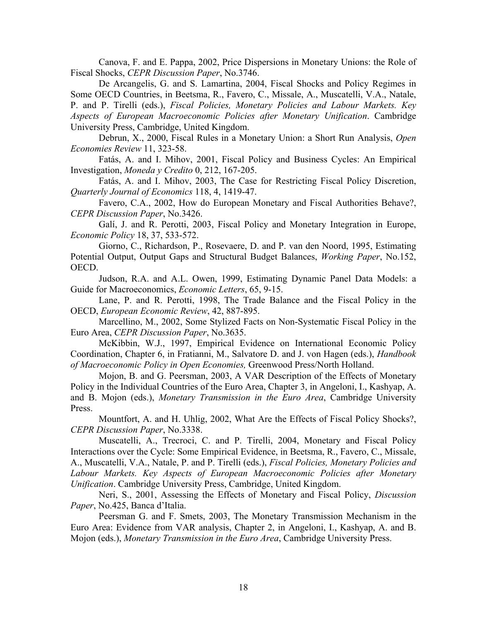Canova, F. and E. Pappa, 2002, Price Dispersions in Monetary Unions: the Role of Fiscal Shocks, *CEPR Discussion Paper*, No.3746.

De Arcangelis, G. and S. Lamartina, 2004, Fiscal Shocks and Policy Regimes in Some OECD Countries, in Beetsma, R., Favero, C., Missale, A., Muscatelli, V.A., Natale, P. and P. Tirelli (eds.), *Fiscal Policies, Monetary Policies and Labour Markets. Key Aspects of European Macroeconomic Policies after Monetary Unification*. Cambridge University Press, Cambridge, United Kingdom.

Debrun, X., 2000, Fiscal Rules in a Monetary Union: a Short Run Analysis, *Open Economies Review* 11, 323-58.

Fatás, A. and I. Mihov, 2001, Fiscal Policy and Business Cycles: An Empirical Investigation, *Moneda y Credito* 0, 212, 167-205.

Fatás, A. and I. Mihov, 2003, The Case for Restricting Fiscal Policy Discretion, *Quarterly Journal of Economics* 118, 4, 1419-47.

Favero, C.A., 2002, How do European Monetary and Fiscal Authorities Behave?, *CEPR Discussion Paper*, No.3426.

Galí, J. and R. Perotti, 2003, Fiscal Policy and Monetary Integration in Europe, *Economic Policy* 18, 37, 533-572.

Giorno, C., Richardson, P., Rosevaere, D. and P. van den Noord, 1995, Estimating Potential Output, Output Gaps and Structural Budget Balances, *Working Paper*, No.152, OECD.

Judson, R.A. and A.L. Owen, 1999, Estimating Dynamic Panel Data Models: a Guide for Macroeconomics, *Economic Letters*, 65, 9-15.

Lane, P. and R. Perotti, 1998, The Trade Balance and the Fiscal Policy in the OECD, *European Economic Review*, 42, 887-895.

Marcellino, M., 2002, Some Stylized Facts on Non-Systematic Fiscal Policy in the Euro Area, *CEPR Discussion Paper*, No.3635.

McKibbin, W.J., 1997, Empirical Evidence on International Economic Policy Coordination, Chapter 6, in Fratianni, M., Salvatore D. and J. von Hagen (eds.), *Handbook of Macroeconomic Policy in Open Economies,* Greenwood Press/North Holland.

Mojon, B. and G. Peersman, 2003, A VAR Description of the Effects of Monetary Policy in the Individual Countries of the Euro Area, Chapter 3, in Angeloni, I., Kashyap, A. and B. Mojon (eds.), *Monetary Transmission in the Euro Area*, Cambridge University Press.

Mountfort, A. and H. Uhlig, 2002, What Are the Effects of Fiscal Policy Shocks?, *CEPR Discussion Paper*, No.3338.

Muscatelli, A., Trecroci, C. and P. Tirelli, 2004, Monetary and Fiscal Policy Interactions over the Cycle: Some Empirical Evidence, in Beetsma, R., Favero, C., Missale, A., Muscatelli, V.A., Natale, P. and P. Tirelli (eds.), *Fiscal Policies, Monetary Policies and Labour Markets. Key Aspects of European Macroeconomic Policies after Monetary Unification*. Cambridge University Press, Cambridge, United Kingdom.

Neri, S., 2001, Assessing the Effects of Monetary and Fiscal Policy, *Discussion Paper*, No.425, Banca d'Italia.

Peersman G. and F. Smets, 2003, The Monetary Transmission Mechanism in the Euro Area: Evidence from VAR analysis, Chapter 2, in Angeloni, I., Kashyap, A. and B. Mojon (eds.), *Monetary Transmission in the Euro Area*, Cambridge University Press.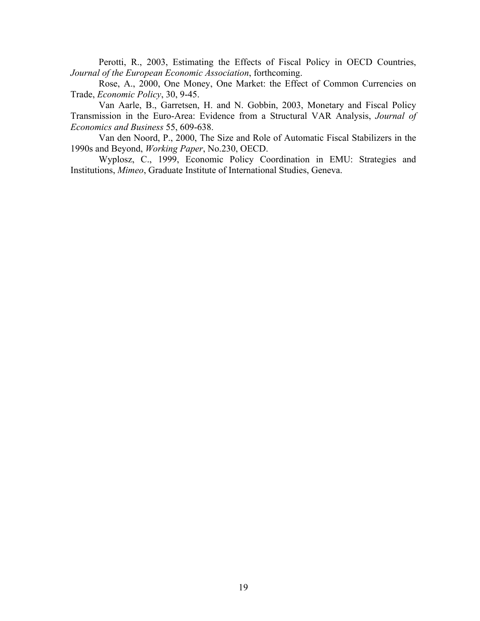Perotti, R., 2003, Estimating the Effects of Fiscal Policy in OECD Countries, *Journal of the European Economic Association*, forthcoming.

Rose, A., 2000, One Money, One Market: the Effect of Common Currencies on Trade, *Economic Policy*, 30, 9-45.

Van Aarle, B., Garretsen, H. and N. Gobbin, 2003, Monetary and Fiscal Policy Transmission in the Euro-Area: Evidence from a Structural VAR Analysis, *Journal of Economics and Business* 55, 609-638.

Van den Noord, P., 2000, The Size and Role of Automatic Fiscal Stabilizers in the 1990s and Beyond, *Working Paper*, No.230, OECD.

Wyplosz, C., 1999, Economic Policy Coordination in EMU: Strategies and Institutions, *Mimeo*, Graduate Institute of International Studies, Geneva.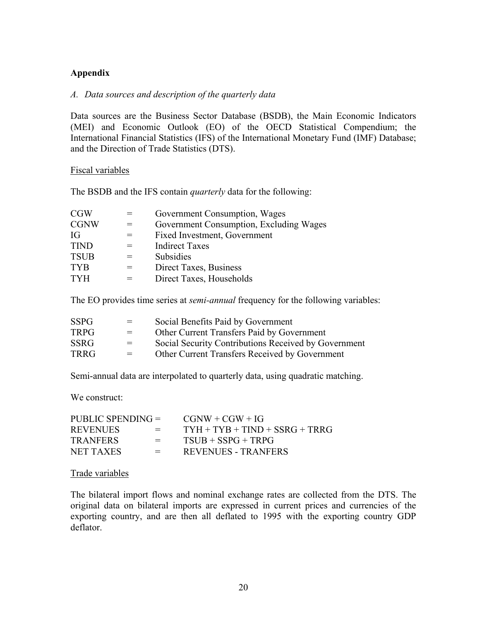# **Appendix**

# *A. Data sources and description of the quarterly data*

Data sources are the Business Sector Database (BSDB), the Main Economic Indicators (MEI) and Economic Outlook (EO) of the OECD Statistical Compendium; the International Financial Statistics (IFS) of the International Monetary Fund (IMF) Database; and the Direction of Trade Statistics (DTS).

Fiscal variables

The BSDB and the IFS contain *quarterly* data for the following:

| <b>CGW</b>  |     | Government Consumption, Wages           |
|-------------|-----|-----------------------------------------|
| <b>CGNW</b> |     | Government Consumption, Excluding Wages |
| IG          |     | Fixed Investment, Government            |
| <b>TIND</b> | $=$ | <b>Indirect Taxes</b>                   |
| <b>TSUB</b> | $=$ | <b>Subsidies</b>                        |
| <b>TYB</b>  |     | Direct Taxes, Business                  |
| <b>TYH</b>  |     | Direct Taxes, Households                |
|             |     |                                         |

The EO provides time series at *semi-annual* frequency for the following variables:

| <b>SSPG</b> | $=$ | Social Benefits Paid by Government                   |
|-------------|-----|------------------------------------------------------|
| <b>TRPG</b> | $=$ | Other Current Transfers Paid by Government           |
| <b>SSRG</b> | $=$ | Social Security Contributions Received by Government |
| <b>TRRG</b> | $=$ | Other Current Transfers Received by Government       |

Semi-annual data are interpolated to quarterly data, using quadratic matching.

We construct:

| PUBLIC SPENDING $=$ |         | $CGNW + CGW + IG$                |
|---------------------|---------|----------------------------------|
| <b>REVENUES</b>     | $=$     | $TYH + TYB + TIND + SSRG + TRRG$ |
| <b>TRANFERS</b>     | $=$ $-$ | $TSUB + SSPG + TRPG$             |
| <b>NET TAXES</b>    | $=$     | <b>REVENUES - TRANFERS</b>       |

### Trade variables

The bilateral import flows and nominal exchange rates are collected from the DTS. The original data on bilateral imports are expressed in current prices and currencies of the exporting country, and are then all deflated to 1995 with the exporting country GDP deflator.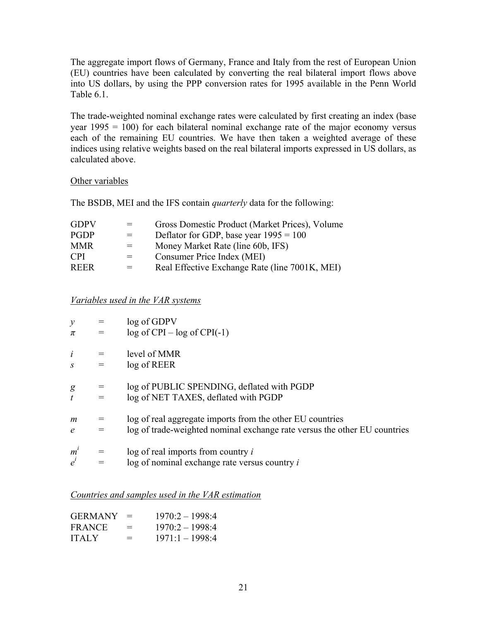The aggregate import flows of Germany, France and Italy from the rest of European Union (EU) countries have been calculated by converting the real bilateral import flows above into US dollars, by using the PPP conversion rates for 1995 available in the Penn World Table 6.1.

The trade-weighted nominal exchange rates were calculated by first creating an index (base year  $1995 = 100$ ) for each bilateral nominal exchange rate of the major economy versus each of the remaining EU countries. We have then taken a weighted average of these indices using relative weights based on the real bilateral imports expressed in US dollars, as calculated above.

# Other variables

The BSDB, MEI and the IFS contain *quarterly* data for the following:

| $=$ | Gross Domestic Product (Market Prices), Volume |
|-----|------------------------------------------------|
| $=$ | Deflator for GDP, base year $1995 = 100$       |
| $=$ | Money Market Rate (line 60b, IFS)              |
| $=$ | Consumer Price Index (MEI)                     |
| $=$ | Real Effective Exchange Rate (line 7001K, MEI) |
|     |                                                |

*Variables used in the VAR systems*

| $\mathcal{Y}$               |     | log of GDPV                                                               |
|-----------------------------|-----|---------------------------------------------------------------------------|
| $\pi$                       |     | $log of CPI - log of CPI(-1)$                                             |
| $\dot{i}$                   |     | level of MMR                                                              |
| $\overline{S}$              | $=$ | log of REER                                                               |
| g                           |     | log of PUBLIC SPENDING, deflated with PGDP                                |
| $\boldsymbol{t}$            | $=$ | log of NET TAXES, deflated with PGDP                                      |
| m                           |     | log of real aggregate imports from the other EU countries                 |
| $\mathcal{C}_{\mathcal{C}}$ | $=$ | log of trade-weighted nominal exchange rate versus the other EU countries |
| m <sup>l</sup>              |     | $log of real$ imports from country $i$                                    |
| $e^{i}$                     |     | log of nominal exchange rate versus country i                             |

# *Countries and samples used in the VAR estimation*

| <b>GERMANY</b> | $=$ | $1970.2 - 1998.4$             |
|----------------|-----|-------------------------------|
| <b>FRANCE</b>  | $=$ | $1970 \cdot 2 - 1998 \cdot 4$ |
| <b>ITALY</b>   | $=$ | $1971 \cdot 1 - 1998 \cdot 4$ |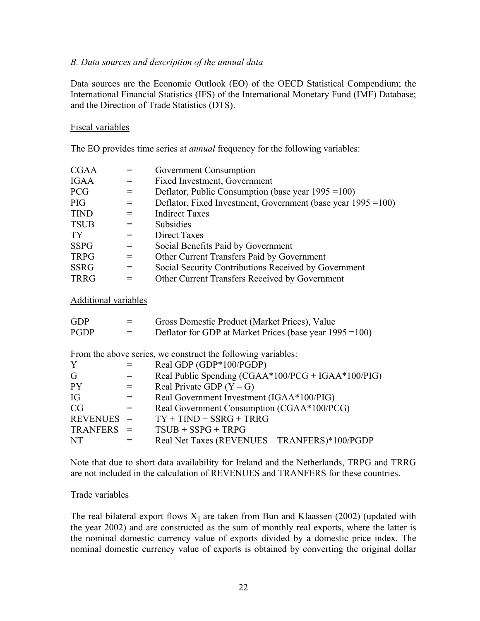# *B. Data sources and description of the annual data*

Data sources are the Economic Outlook (EO) of the OECD Statistical Compendium; the International Financial Statistics (IFS) of the International Monetary Fund (IMF) Database; and the Direction of Trade Statistics (DTS).

# Fiscal variables

The EO provides time series at *annual* frequency for the following variables:

| <b>CGAA</b> |     | Government Consumption                                        |
|-------------|-----|---------------------------------------------------------------|
| <b>IGAA</b> | $=$ | Fixed Investment, Government                                  |
| <b>PCG</b>  | $=$ | Deflator, Public Consumption (base year 1995 = 100)           |
| <b>PIG</b>  | $=$ | Deflator, Fixed Investment, Government (base year 1995 = 100) |
| <b>TIND</b> | $=$ | <b>Indirect Taxes</b>                                         |
| <b>TSUB</b> | $=$ | Subsidies                                                     |
| <b>TY</b>   | $=$ | Direct Taxes                                                  |
| <b>SSPG</b> | $=$ | Social Benefits Paid by Government                            |
| <b>TRPG</b> | $=$ | Other Current Transfers Paid by Government                    |
| <b>SSRG</b> | $=$ | Social Security Contributions Received by Government          |
| <b>TRRG</b> | $=$ | Other Current Transfers Received by Government                |
|             |     |                                                               |

Additional variables

| $=$                               | Gross Domestic Product (Market Prices), Value                |
|-----------------------------------|--------------------------------------------------------------|
| $=$                               | Deflator for GDP at Market Prices (base year 1995 = 100)     |
|                                   |                                                              |
|                                   | From the above series, we construct the following variables: |
|                                   | Real GDP (GDP*100/PGDP)                                      |
| $=$                               | Real Public Spending (CGAA*100/PCG + IGAA*100/PIG)           |
| $=$                               | Real Private GDP $(Y - G)$                                   |
| $=$                               | Real Government Investment (IGAA*100/PIG)                    |
| $=$                               | Real Government Consumption (CGAA*100/PCG)                   |
| $\hspace{1.0cm} = \hspace{1.0cm}$ | $TY + TIND + SSRG + TRRG$                                    |
| $=$                               | $TSUB + SSPG + TRPG$                                         |
|                                   | Real Net Taxes (REVENUES - TRANFERS)*100/PGDP                |
|                                   |                                                              |

Note that due to short data availability for Ireland and the Netherlands, TRPG and TRRG are not included in the calculation of REVENUES and TRANFERS for these countries.

# Trade variables

The real bilateral export flows  $X_{ii}$  are taken from Bun and Klaassen (2002) (updated with the year 2002) and are constructed as the sum of monthly real exports, where the latter is the nominal domestic currency value of exports divided by a domestic price index. The nominal domestic currency value of exports is obtained by converting the original dollar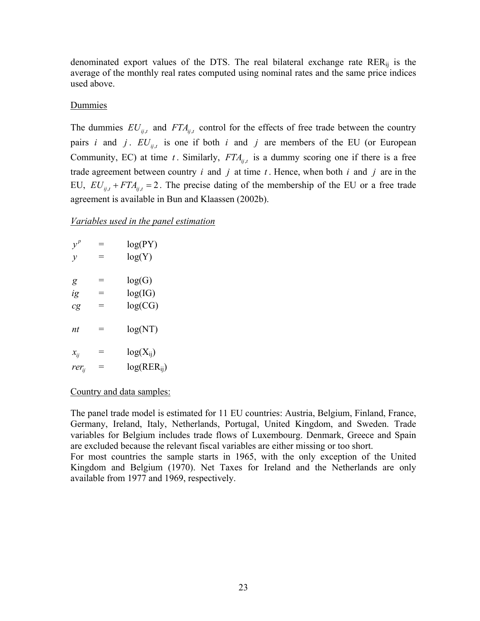denominated export values of the DTS. The real bilateral exchange rate RERij is the average of the monthly real rates computed using nominal rates and the same price indices used above.

### Dummies

The dummies  $EU_{ii}$  and  $FTA_{ii}$  control for the effects of free trade between the country pairs *i* and *j*.  $EU_{ii,t}$  is one if both *i* and *j* are members of the EU (or European Community, EC) at time  $t$ . Similarly,  $FTA_{i,t}$  is a dummy scoring one if there is a free trade agreement between country *i* and *j* at time *t* . Hence, when both *i* and *j* are in the EU,  $EU_{ii,t} + FTA_{ii,t} = 2$ . The precise dating of the membership of the EU or a free trade agreement is available in Bun and Klaassen (2002b).

# *Variables used in the panel estimation*

| $y^p$        |          | log(PY)         |
|--------------|----------|-----------------|
| $\mathcal V$ | ᆖ        | log(Y)          |
|              |          |                 |
| g            |          | log(G)          |
| ig           | $\equiv$ | log(IG)         |
| c g          |          | log(CG)         |
|              |          |                 |
| nt           |          | log(NT)         |
|              |          |                 |
| $x_{ii}$     |          | $log(X_{ij})$   |
| $rer_{ij}$   |          | $log(RER_{ii})$ |
|              |          |                 |

# Country and data samples:

The panel trade model is estimated for 11 EU countries: Austria, Belgium, Finland, France, Germany, Ireland, Italy, Netherlands, Portugal, United Kingdom, and Sweden. Trade variables for Belgium includes trade flows of Luxembourg. Denmark, Greece and Spain are excluded because the relevant fiscal variables are either missing or too short.

For most countries the sample starts in 1965, with the only exception of the United Kingdom and Belgium (1970). Net Taxes for Ireland and the Netherlands are only available from 1977 and 1969, respectively.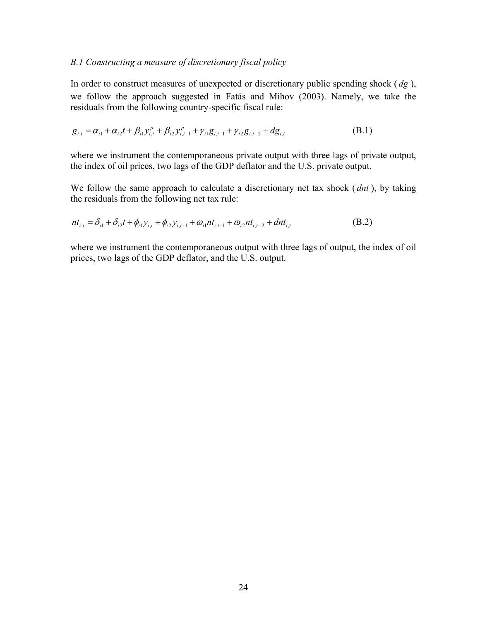#### *B.1 Constructing a measure of discretionary fiscal policy*

In order to construct measures of unexpected or discretionary public spending shock ( *dg* ), we follow the approach suggested in Fatás and Mihov (2003). Namely, we take the residuals from the following country-specific fiscal rule:

$$
g_{i,t} = \alpha_{i1} + \alpha_{i2}t + \beta_{i1}y_{i,t}^p + \beta_{i2}y_{i,t-1}^p + \gamma_{i1}g_{i,t-1} + \gamma_{i2}g_{i,t-2} + dg_{i,t}
$$
 (B.1)

where we instrument the contemporaneous private output with three lags of private output, the index of oil prices, two lags of the GDP deflator and the U.S. private output.

We follow the same approach to calculate a discretionary net tax shock ( *dnt* ), by taking the residuals from the following net tax rule:

$$
nt_{i,t} = \delta_{i1} + \delta_{i2}t + \phi_{i1}y_{i,t} + \phi_{i2}y_{i,t-1} + \omega_{i1}nt_{i,t-1} + \omega_{i2}nt_{i,t-2} + dnt_{i,t}
$$
(B.2)

where we instrument the contemporaneous output with three lags of output, the index of oil prices, two lags of the GDP deflator, and the U.S. output.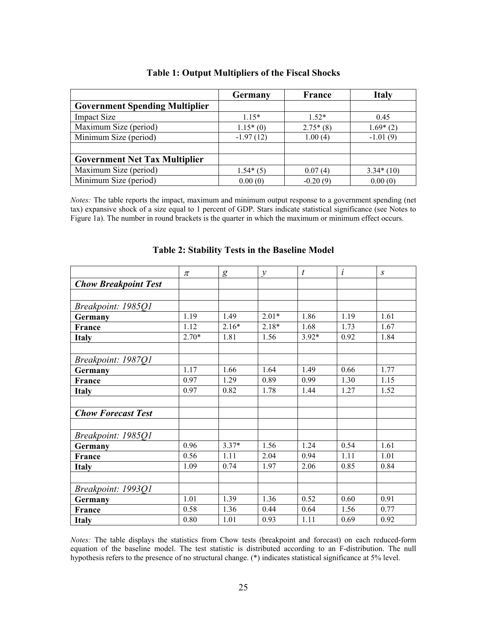|                                       | Germany     | <b>France</b> | <b>Italy</b> |
|---------------------------------------|-------------|---------------|--------------|
| <b>Government Spending Multiplier</b> |             |               |              |
| <b>Impact Size</b>                    | $1.15*$     | $1.52*$       | 0.45         |
| Maximum Size (period)                 | $1.15*(0)$  | $2.75*(8)$    | $1.69*(2)$   |
| Minimum Size (period)                 | $-1.97(12)$ | 1.00(4)       | $-1.01(9)$   |
|                                       |             |               |              |
| <b>Government Net Tax Multiplier</b>  |             |               |              |
| Maximum Size (period)                 | $1.54*(5)$  | 0.07(4)       | $3.34*(10)$  |
| Minimum Size (period)                 | 0.00(0)     | $-0.20(9)$    | 0.00(0)      |

### **Table 1: Output Multipliers of the Fiscal Shocks**

*Notes:* The table reports the impact, maximum and minimum output response to a government spending (net tax) expansive shock of a size equal to 1 percent of GDP. Stars indicate statistical significance (see Notes to Figure 1a). The number in round brackets is the quarter in which the maximum or minimum effect occurs.

|                             | $\pi$   | g       | $\mathcal{Y}$ | t       | i    | $\boldsymbol{S}$ |
|-----------------------------|---------|---------|---------------|---------|------|------------------|
| <b>Chow Breakpoint Test</b> |         |         |               |         |      |                  |
|                             |         |         |               |         |      |                  |
| Breakpoint: 1985Q1          |         |         |               |         |      |                  |
| Germany                     | 1.19    | 1.49    | $2.01*$       | 1.86    | 1.19 | 1.61             |
| <b>France</b>               | 1.12    | $2.16*$ | $2.18*$       | 1.68    | 1.73 | 1.67             |
| <b>Italy</b>                | $2.70*$ | 1.81    | 1.56          | $3.92*$ | 0.92 | 1.84             |
|                             |         |         |               |         |      |                  |
| Breakpoint: 1987Q1          |         |         |               |         |      |                  |
| Germany                     | 1.17    | 1.66    | 1.64          | 1.49    | 0.66 | 1.77             |
| France                      | 0.97    | 1.29    | 0.89          | 0.99    | 1.30 | 1.15             |
| <b>Italy</b>                | 0.97    | 0.82    | 1.78          | 1.44    | 1.27 | 1.52             |
|                             |         |         |               |         |      |                  |
| <b>Chow Forecast Test</b>   |         |         |               |         |      |                  |
|                             |         |         |               |         |      |                  |
| Breakpoint: 198501          |         |         |               |         |      |                  |
| Germany                     | 0.96    | $3.37*$ | 1.56          | 1.24    | 0.54 | 1.61             |
| <b>France</b>               | 0.56    | 1.11    | 2.04          | 0.94    | 1.11 | 1.01             |
| <b>Italy</b>                | 1.09    | 0.74    | 1.97          | 2.06    | 0.85 | 0.84             |
|                             |         |         |               |         |      |                  |
| Breakpoint: 1993Q1          |         |         |               |         |      |                  |
| Germany                     | 1.01    | 1.39    | 1.36          | 0.52    | 0.60 | 0.91             |
| <b>France</b>               | 0.58    | 1.36    | 0.44          | 0.64    | 1.56 | 0.77             |
| <b>Italy</b>                | 0.80    | 1.01    | 0.93          | 1.11    | 0.69 | 0.92             |

**Table 2: Stability Tests in the Baseline Model** 

*Notes:* The table displays the statistics from Chow tests (breakpoint and forecast) on each reduced-form equation of the baseline model. The test statistic is distributed according to an F-distribution. The null hypothesis refers to the presence of no structural change. (\*) indicates statistical significance at 5% level.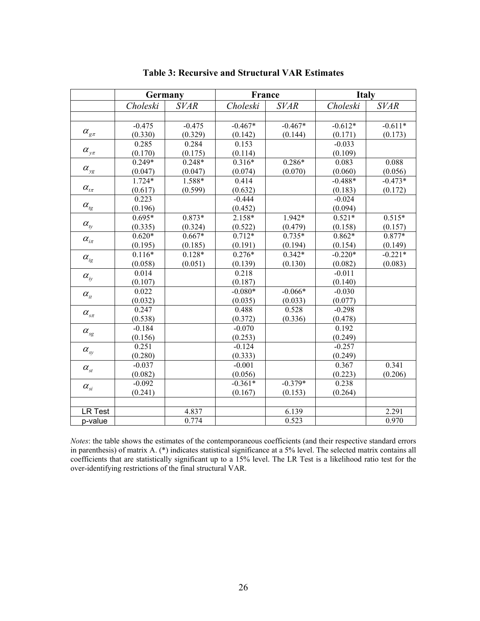|                                   | Germany  |             |           | <b>France</b> | <b>Italy</b> |             |
|-----------------------------------|----------|-------------|-----------|---------------|--------------|-------------|
|                                   | Choleski | <b>SVAR</b> | Choleski  | <b>SVAR</b>   | Choleski     | <b>SVAR</b> |
|                                   |          |             |           |               |              |             |
| $\alpha_{\rm gr}$                 | $-0.475$ | $-0.475$    | $-0.467*$ | $-0.467*$     | $-0.612*$    | $-0.611*$   |
|                                   | (0.330)  | (0.329)     | (0.142)   | (0.144)       | (0.171)      | (0.173)     |
| $\alpha_{y\pi}$                   | 0.285    | 0.284       | 0.153     |               | $-0.033$     |             |
|                                   | (0.170)  | (0.175)     | (0.114)   |               | (0.109)      |             |
|                                   | $0.249*$ | $0.248*$    | $0.316*$  | $0.286*$      | 0.083        | 0.088       |
| $\alpha_{\rm{yg}}$                | (0.047)  | (0.047)     | (0.074)   | (0.070)       | (0.060)      | (0.056)     |
|                                   | 1.724*   | 1.588*      | 0.414     |               | $-0.488*$    | $-0.473*$   |
| $\alpha_{t\pi}$                   | (0.617)  | (0.599)     | (0.632)   |               | (0.183)      | (0.172)     |
|                                   | 0.223    |             | $-0.444$  |               | $-0.024$     |             |
| $\alpha_{\rm ig}$                 | (0.196)  |             | (0.452)   |               | (0.094)      |             |
|                                   | $0.695*$ | 0.873*      | 2.158*    | 1.942*        | $0.521*$     | $0.515*$    |
| $\alpha_{\text{tv}}$              | (0.335)  | (0.324)     | (0.522)   | (0.479)       | (0.158)      | (0.157)     |
| $\alpha_{i\pi}$                   | $0.620*$ | $0.667*$    | $0.712*$  | $0.735*$      | $0.862*$     | 0.877*      |
|                                   | (0.195)  | (0.185)     | (0.191)   | (0.194)       | (0.154)      | (0.149)     |
| $\alpha_{ig}$                     | $0.116*$ | $0.128*$    | $0.276*$  | $0.342*$      | $-0.220*$    | $-0.221*$   |
|                                   | (0.058)  | (0.051)     | (0.139)   | (0.130)       | (0.082)      | (0.083)     |
| $\alpha_{iv}$                     | 0.014    |             | 0.218     |               | $-0.011$     |             |
|                                   | (0.107)  |             | (0.187)   |               | (0.140)      |             |
| $\alpha_{it}$                     | 0.022    |             | $-0.080*$ | $-0.066*$     | $-0.030$     |             |
|                                   | (0.032)  |             | (0.035)   | (0.033)       | (0.077)      |             |
| $\alpha_{s\pi}$                   | 0.247    |             | 0.488     | 0.528         | $-0.298$     |             |
|                                   | (0.538)  |             | (0.372)   | (0.336)       | (0.478)      |             |
| $\alpha_{\rm sg}$                 | $-0.184$ |             | $-0.070$  |               | 0.192        |             |
|                                   | (0.156)  |             | (0.253)   |               | (0.249)      |             |
|                                   | 0.251    |             | $-0.124$  |               | $-0.257$     |             |
| $\alpha_{sy}$                     | (0.280)  |             | (0.333)   |               | (0.249)      |             |
| $\alpha_{st}$                     | $-0.037$ |             | $-0.001$  |               | 0.367        | 0.341       |
|                                   | (0.082)  |             | (0.056)   |               | (0.223)      | (0.206)     |
| $\alpha_{\scriptscriptstyle{si}}$ | $-0.092$ |             | $-0.361*$ | $-0.379*$     | 0.238        |             |
|                                   | (0.241)  |             | (0.167)   | (0.153)       | (0.264)      |             |
|                                   |          |             |           |               |              |             |
| LR Test                           |          | 4.837       |           | 6.139         |              | 2.291       |
| p-value                           |          | 0.774       |           | 0.523         |              | 0.970       |

**Table 3: Recursive and Structural VAR Estimates** 

*Notes*: the table shows the estimates of the contemporaneous coefficients (and their respective standard errors in parenthesis) of matrix A. (\*) indicates statistical significance at a 5% level. The selected matrix contains all coefficients that are statistically significant up to a 15% level. The LR Test is a likelihood ratio test for the over-identifying restrictions of the final structural VAR.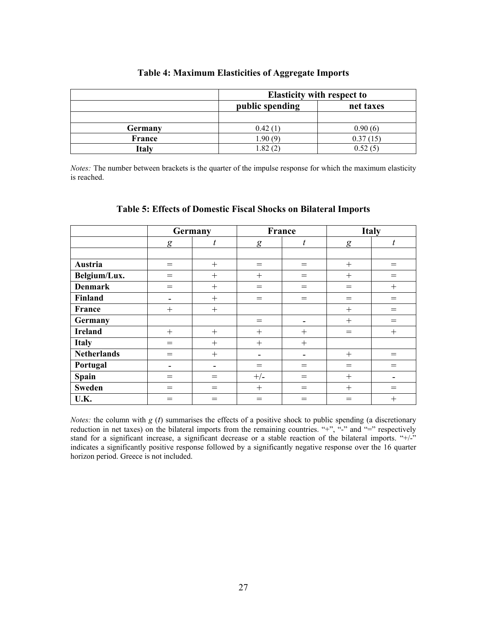|              | <b>Elasticity with respect to</b> |           |  |  |
|--------------|-----------------------------------|-----------|--|--|
|              | public spending                   | net taxes |  |  |
|              |                                   |           |  |  |
| Germany      | 0.42(1)                           | 0.90(6)   |  |  |
| France       | .90(9)                            | 0.37(15)  |  |  |
| <b>Italy</b> | 1.82(2)                           | 0.52(5)   |  |  |

### **Table 4: Maximum Elasticities of Aggregate Imports**

*Notes:* The number between brackets is the quarter of the impulse response for which the maximum elasticity is reached.

|                    | Germany                  |        | France |                          | <b>Italy</b> |        |
|--------------------|--------------------------|--------|--------|--------------------------|--------------|--------|
|                    | g                        |        | g      | t                        | g            | t      |
|                    |                          |        |        |                          |              |        |
| Austria            | $=$                      | $+$    | $=$    | $=$                      | $^{+}$       | $=$    |
| Belgium/Lux.       | $=$                      | $^{+}$ | $^{+}$ | $=$                      | $^{+}$       | $=$    |
| <b>Denmark</b>     | $=$                      | $+$    | $=$    | $=$                      | $=$          | $^{+}$ |
| <b>Finland</b>     | $\overline{\phantom{0}}$ | $^{+}$ | $=$    | $=$                      | $=$          | $=$    |
| France             | $^{+}$                   | $^{+}$ |        |                          | $+$          | $=$    |
| Germany            |                          |        | $=$    | $\overline{\phantom{a}}$ | $+$          |        |
| <b>Ireland</b>     | $+$                      | $+$    | $+$    | $^{+}$                   | $=$          | $^{+}$ |
| <b>Italy</b>       | $=$                      | $+$    | $+$    | $+$                      |              |        |
| <b>Netherlands</b> | $=$                      | $^{+}$ |        | $\overline{\phantom{a}}$ | $^{+}$       | $=$    |
| Portugal           | -                        | -      | $=$    | $=$                      | $=$          | $=$    |
| <b>Spain</b>       | $=$                      | =      | $+/-$  | $=$                      | $^{+}$       |        |
| <b>Sweden</b>      | $=$                      | $=$    | $+$    | $=$                      | $^{+}$       |        |
| U.K.               | $=$                      | $=$    | $=$    | $=$                      | $=$          | $^{+}$ |

# **Table 5: Effects of Domestic Fiscal Shocks on Bilateral Imports**

*Notes:* the column with *g* (*t*) summarises the effects of a positive shock to public spending (a discretionary reduction in net taxes) on the bilateral imports from the remaining countries. "+", "-" and "=" respectively stand for a significant increase, a significant decrease or a stable reaction of the bilateral imports. "+/-" indicates a significantly positive response followed by a significantly negative response over the 16 quarter horizon period. Greece is not included.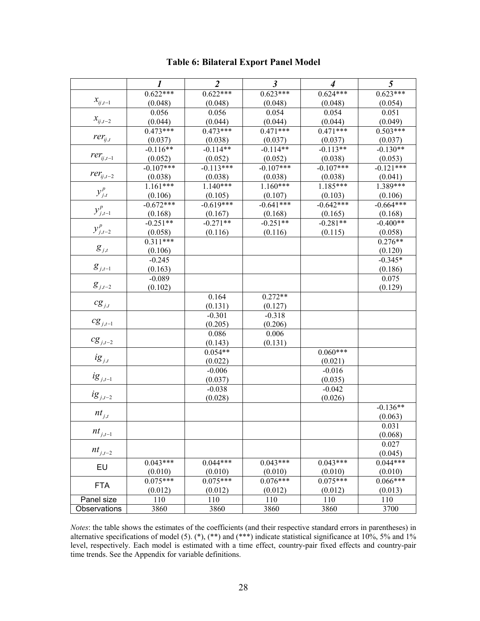|                                 | $\boldsymbol{l}$ | $\overline{2}$ | $\boldsymbol{\beta}$ | $\boldsymbol{4}$ | $\mathfrak s$ |
|---------------------------------|------------------|----------------|----------------------|------------------|---------------|
| $x_{\scriptscriptstyle ij,t-1}$ | $0.622***$       | $0.622***$     | $0.623***$           | $0.624***$       | $0.623***$    |
|                                 | (0.048)          | (0.048)        | (0.048)              | (0.048)          | (0.054)       |
|                                 | 0.056            | 0.056          | 0.054                | 0.054            | 0.051         |
| $x_{ij,t-2}$                    | (0.044)          | (0.044)        | (0.044)              | (0.044)          | (0.049)       |
| $rer_{ij,t}$                    | $0.473***$       | $0.473***$     | $0.471***$           | $0.471***$       | $0.503***$    |
|                                 | (0.037)          | (0.038)        | (0.037)              | (0.037)          | (0.037)       |
|                                 | $-0.116**$       | $-0.114**$     | $-0.114**$           | $-0.113**$       | $-0.130**$    |
| $rer_{ij,t-1}$                  | (0.052)          | (0.052)        | (0.052)              | (0.038)          | (0.053)       |
|                                 | $-0.107***$      | $-0.113***$    | $-0.107***$          | $-0.107***$      | $-0.121***$   |
| $\mathit{rer}_{ij,t-2}$         | (0.038)          | (0.038)        | (0.038)              | (0.038)          | (0.041)       |
|                                 | $1.161***$       | $1.140***$     | $1.160***$           | $1.185***$       | 1.389***      |
| $y_{j,t}^p$                     | (0.106)          | (0.105)        | (0.107)              | (0.103)          | (0.106)       |
|                                 | $-0.672***$      | $-0.619***$    | $-0.641***$          | $-0.642***$      | $-0.664***$   |
| $\boldsymbol{y}^p_{j,t-1}$      | (0.168)          | (0.167)        | (0.168)              | (0.165)          | (0.168)       |
|                                 | $-0.251**$       | $-0.271**$     | $-0.251**$           | $-0.281**$       | $-0.400**$    |
| $\boldsymbol{y}^p_{j,t-2}$      | (0.058)          | (0.116)        | (0.116)              | (0.115)          | (0.058)       |
|                                 | $0.311***$       |                |                      |                  | $0.276**$     |
| $g_{j,t}$                       | (0.106)          |                |                      |                  | (0.120)       |
|                                 | $-0.245$         |                |                      |                  | $-0.345*$     |
| $\boldsymbol{g}_{j,t-1}$        | (0.163)          |                |                      |                  | (0.186)       |
|                                 | $-0.089$         |                |                      |                  | 0.075         |
| $g_{j,t-2}$                     | (0.102)          |                |                      |                  | (0.129)       |
|                                 |                  | 0.164          | $0.272**$            |                  |               |
| $cg_{j,t}$                      |                  | (0.131)        | (0.127)              |                  |               |
|                                 |                  | $-0.301$       | $-0.318$             |                  |               |
| $cg_{j,t-1}$                    |                  | (0.205)        | (0.206)              |                  |               |
|                                 |                  | 0.086          | 0.006                |                  |               |
| $cg_{j,t-2}$                    |                  | (0.143)        | (0.131)              |                  |               |
|                                 |                  | $0.054**$      |                      | $0.060***$       |               |
| $ig_{j,t}$                      |                  | (0.022)        |                      | (0.021)          |               |
|                                 |                  | $-0.006$       |                      | $-0.016$         |               |
| $ig_{j,t-1}$                    |                  | (0.037)        |                      | (0.035)          |               |
| $ig_{j,t-2}$                    |                  | $-0.038$       |                      | $-0.042$         |               |
|                                 |                  | (0.028)        |                      | (0.026)          |               |
|                                 |                  |                |                      |                  | $-0.136**$    |
| $nt_{j,t}$                      |                  |                |                      |                  | (0.063)       |
| $nt_{j,t-1}$                    |                  |                |                      |                  | 0.031         |
|                                 |                  |                |                      |                  | (0.068)       |
| $nt_{j,t-2}$                    |                  |                |                      |                  | 0.027         |
|                                 |                  |                |                      |                  | (0.045)       |
| EU                              | $0.043***$       | $0.044***$     | $0.043***$           | $0.043***$       | $0.044***$    |
|                                 | (0.010)          | (0.010)        | (0.010)              | (0.010)          | (0.010)       |
| <b>FTA</b>                      | $0.075***$       | $0.075***$     | $0.076***$           | $0.075***$       | $0.066***$    |
|                                 | (0.012)          | (0.012)        | (0.012)              | (0.012)          | (0.013)       |
| Panel size                      | 110              | 110            | 110                  | 110              | 110           |
| Observations                    | 3860             | 3860           | 3860                 | 3860             | 3700          |

*Notes*: the table shows the estimates of the coefficients (and their respective standard errors in parentheses) in alternative specifications of model (5). (\*), (\*\*) and (\*\*\*) indicate statistical significance at 10%, 5% and 1% level, respectively. Each model is estimated with a time effect, country-pair fixed effects and country-pair time trends. See the Appendix for variable definitions.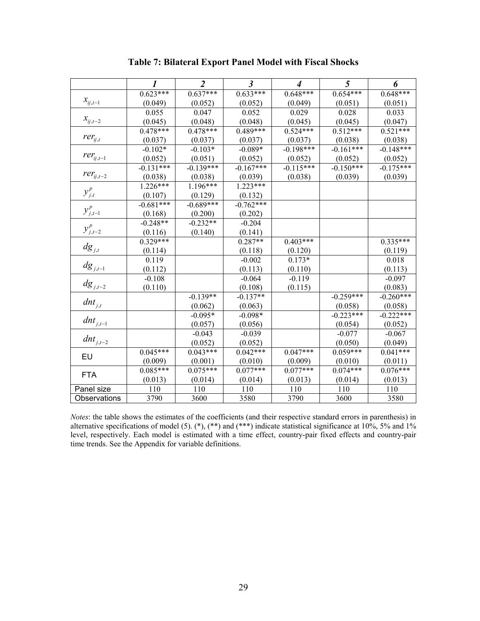|                          | $\boldsymbol{l}$ | $\overline{2}$ | $\mathfrak{z}$ | $\overline{\boldsymbol{4}}$ | 5            | 6           |
|--------------------------|------------------|----------------|----------------|-----------------------------|--------------|-------------|
|                          | $0.623***$       | $0.637***$     | $0.633***$     | $0.648***$                  | $0.654***$   | $0.648***$  |
| $x_{ij,t-1}$             | (0.049)          | (0.052)        | (0.052)        | (0.049)                     | (0.051)      | (0.051)     |
|                          | 0.055            | 0.047          | 0.052          | 0.029                       | 0.028        | 0.033       |
| $x_{ij,t-2}$             | (0.045)          | (0.048)        | (0.048)        | (0.045)                     | (0.045)      | (0.047)     |
|                          | $0.478***$       | $0.478***$     | $0.489***$     | $0.524***$                  | $0.512***$   | $0.521***$  |
| $rer_{ij,t}$             | (0.037)          | (0.037)        | (0.037)        | (0.037)                     | (0.038)      | (0.038)     |
|                          | $-0.102*$        | $-0.103*$      | $-0.089*$      | $-0.198***$                 | $-0.161$ *** | $-0.148***$ |
| $\textit{rer}_{ij, t-1}$ | (0.052)          | (0.051)        | (0.052)        | (0.052)                     | (0.052)      | (0.052)     |
|                          | $-0.131***$      | $-0.139***$    | $-0.167***$    | $-0.115***$                 | $-0.150***$  | $-0.175***$ |
| $rer_{ij,t-2}$           | (0.038)          | (0.038)        | (0.039)        | (0.038)                     | (0.039)      | (0.039)     |
|                          | $1.226***$       | $1.196***$     | $1.223***$     |                             |              |             |
| $y_{j,t}^p$              | (0.107)          | (0.129)        | (0.132)        |                             |              |             |
|                          | $-0.681***$      | $-0.689***$    | $-0.762***$    |                             |              |             |
| $y^p_{j,t-1}$            | (0.168)          | (0.200)        | (0.202)        |                             |              |             |
|                          | $-0.248**$       | $-0.232**$     | $-0.204$       |                             |              |             |
| $y^p_{j,t-2}$            | (0.116)          | (0.140)        | (0.141)        |                             |              |             |
|                          | $0.329***$       |                | $0.287**$      | $0.403***$                  |              | $0.335***$  |
| $dg_{j,t}$               | (0.114)          |                | (0.118)        | (0.120)                     |              | (0.119)     |
|                          | 0.119            |                | $-0.002$       | $0.173*$                    |              | 0.018       |
| $dg_{j,t-1}$             | (0.112)          |                | (0.113)        | (0.110)                     |              | (0.113)     |
|                          | $-0.108$         |                | $-0.064$       | $-0.119$                    |              | $-0.097$    |
| $dg_{j,t-2}$             | (0.110)          |                | (0.108)        | (0.115)                     |              | (0.083)     |
|                          |                  | $-0.139**$     | $-0.137**$     |                             | $-0.259***$  | $-0.260***$ |
| $\frac{dnt_{j,t}}{dt}$   |                  | (0.062)        | (0.063)        |                             | (0.058)      | (0.058)     |
|                          |                  | $-0.095*$      | $-0.098*$      |                             | $-0.223***$  | $-0.222***$ |
| $\frac{dnt_{j,t-1}}{n}$  |                  | (0.057)        | (0.056)        |                             | (0.054)      | (0.052)     |
| $\frac{dnt_{j,t-2}}{dt}$ |                  | $-0.043$       | $-0.039$       |                             | $-0.077$     | $-0.067$    |
|                          |                  | (0.052)        | (0.052)        |                             | (0.050)      | (0.049)     |
| EU                       | $0.045***$       | $0.043***$     | $0.042***$     | $0.047***$                  | $0.059***$   | $0.041***$  |
|                          | (0.009)          | (0.001)        | (0.010)        | (0.009)                     | (0.010)      | (0.011)     |
| <b>FTA</b>               | $0.085***$       | $0.075***$     | $0.077***$     | $0.077***$                  | $0.074***$   | $0.076***$  |
|                          | (0.013)          | (0.014)        | (0.014)        | (0.013)                     | (0.014)      | (0.013)     |
| Panel size               | 110              | 110            | 110            | 110                         | 110          | 110         |
| Observations             | 3790             | 3600           | 3580           | 3790                        | 3600         | 3580        |

**Table 7: Bilateral Export Panel Model with Fiscal Shocks** 

*Notes*: the table shows the estimates of the coefficients (and their respective standard errors in parenthesis) in alternative specifications of model (5). (\*), (\*\*) and (\*\*\*) indicate statistical significance at 10%, 5% and 1% level, respectively. Each model is estimated with a time effect, country-pair fixed effects and country-pair time trends. See the Appendix for variable definitions.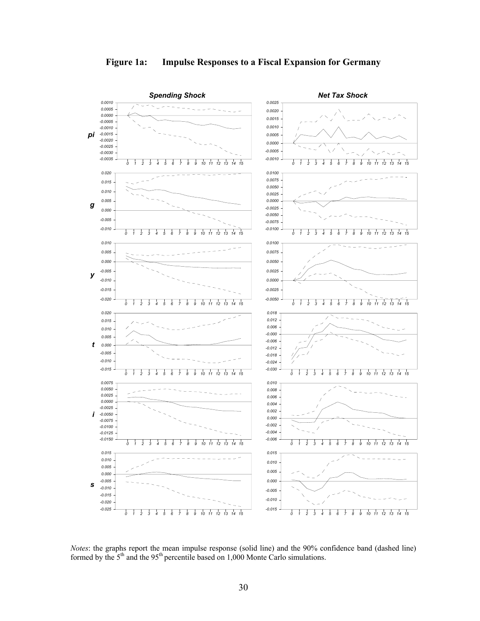

*Notes*: the graphs report the mean impulse response (solid line) and the 90% confidence band (dashed line) formed by the  $5<sup>th</sup>$  and the 95<sup>th</sup> percentile based on 1,000 Monte Carlo simulations.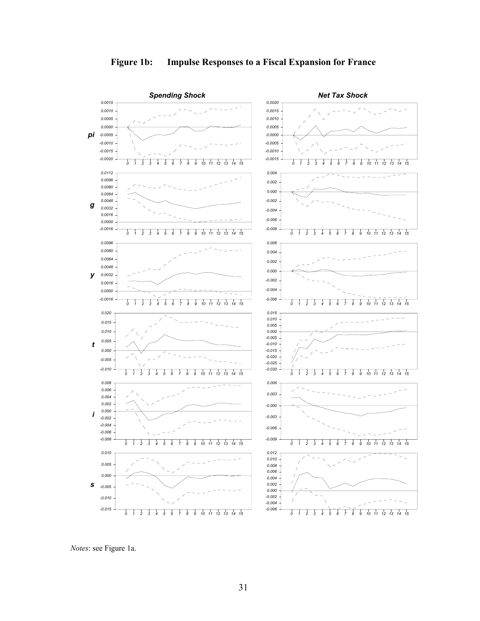

*Notes*: see Figure 1a.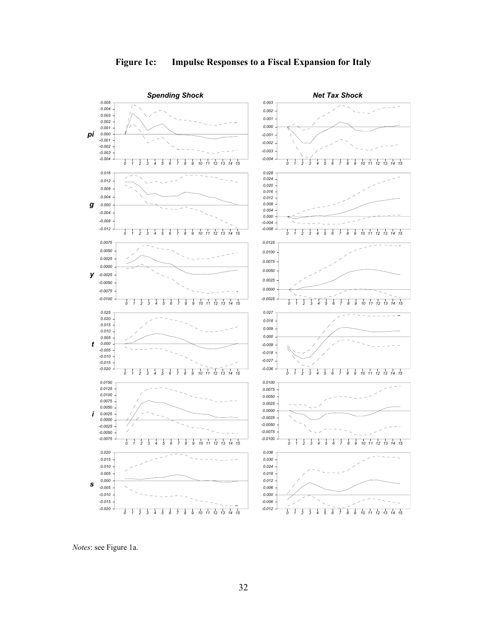

**Figure 1c: Impulse Responses to a Fiscal Expansion for Italy** 

 *Notes*: see Figure 1a.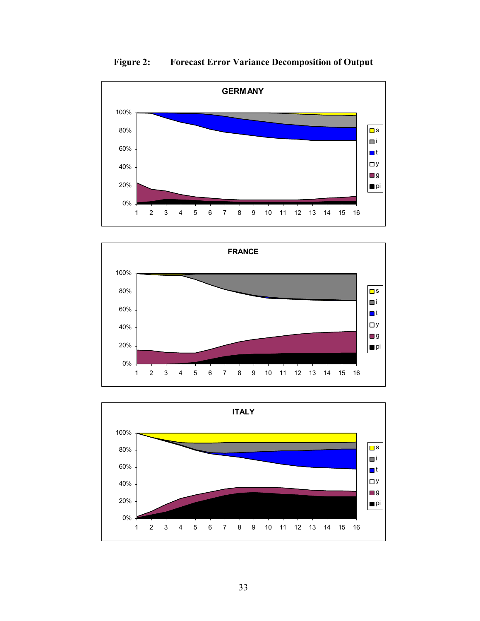

**Figure 2: Forecast Error Variance Decomposition of Output** 



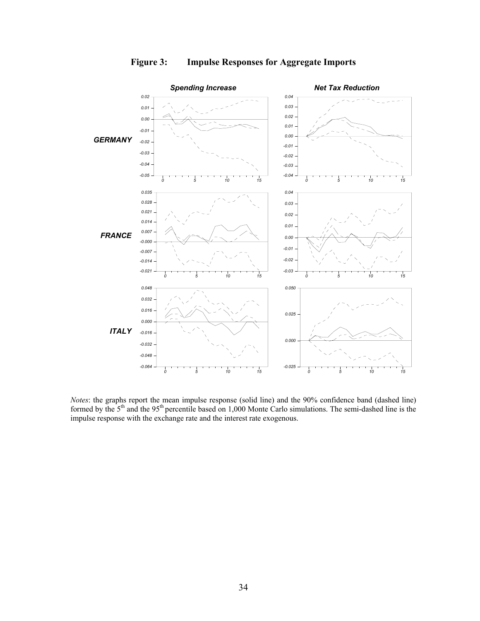

**Figure 3: Impulse Responses for Aggregate Imports** 

*Notes*: the graphs report the mean impulse response (solid line) and the 90% confidence band (dashed line) formed by the  $5<sup>th</sup>$  and the 95<sup>th</sup> percentile based on 1,000 Monte Carlo simulations. The semi-dashed line is the impulse response with the exchange rate and the interest rate exogenous.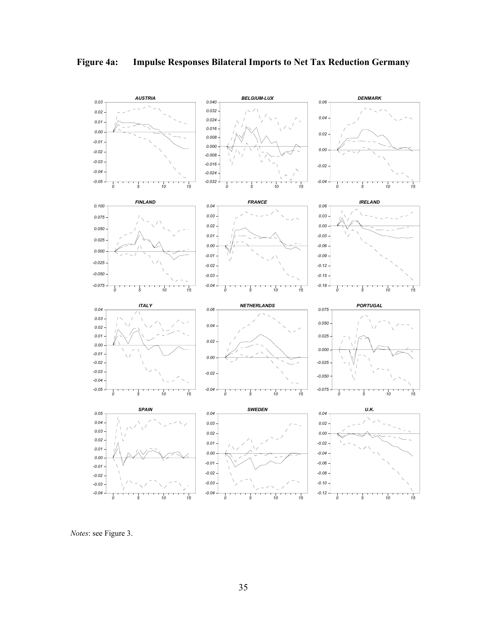

*Notes*: see Figure 3.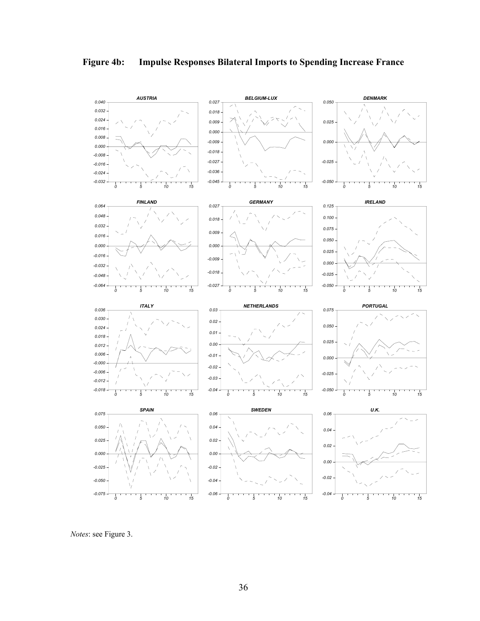

# **Figure 4b: Impulse Responses Bilateral Imports to Spending Increase France**

*Notes*: see Figure 3.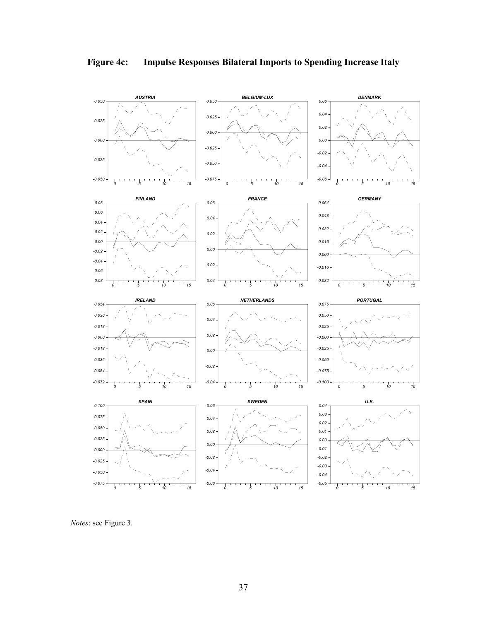

**Figure 4c: Impulse Responses Bilateral Imports to Spending Increase Italy** 

*Notes*: see Figure 3.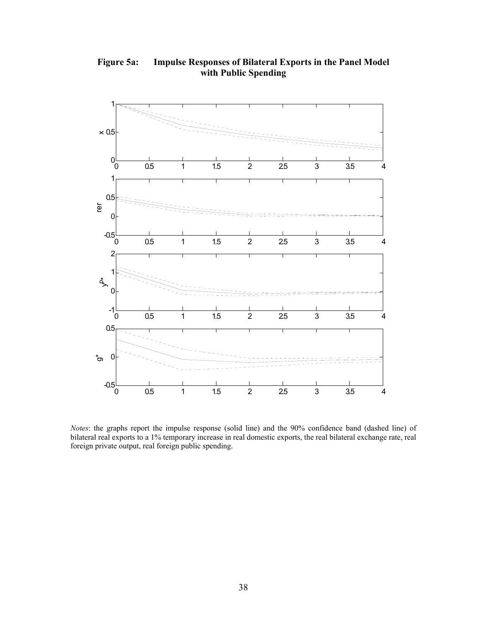![](_page_37_Figure_0.jpeg)

**Figure 5a: Impulse Responses of Bilateral Exports in the Panel Model with Public Spending** 

*Notes*: the graphs report the impulse response (solid line) and the 90% confidence band (dashed line) of bilateral real exports to a 1% temporary increase in real domestic exports, the real bilateral exchange rate, real foreign private output, real foreign public spending.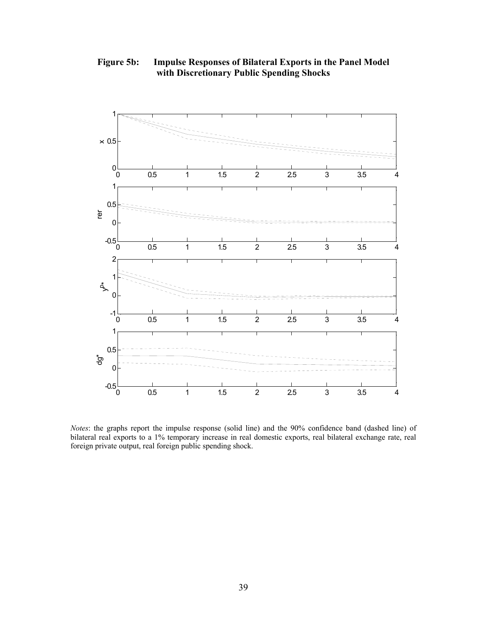![](_page_38_Figure_0.jpeg)

![](_page_38_Figure_1.jpeg)

*Notes*: the graphs report the impulse response (solid line) and the 90% confidence band (dashed line) of bilateral real exports to a 1% temporary increase in real domestic exports, real bilateral exchange rate, real foreign private output, real foreign public spending shock.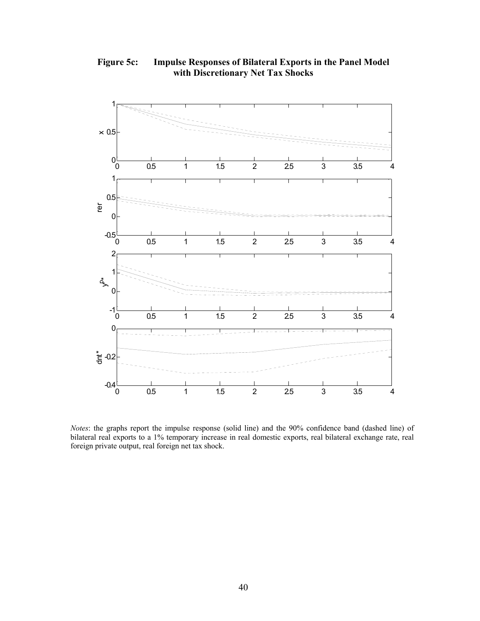![](_page_39_Figure_0.jpeg)

**Figure 5c: Impulse Responses of Bilateral Exports in the Panel Model with Discretionary Net Tax Shocks** 

*Notes*: the graphs report the impulse response (solid line) and the 90% confidence band (dashed line) of bilateral real exports to a 1% temporary increase in real domestic exports, real bilateral exchange rate, real foreign private output, real foreign net tax shock.